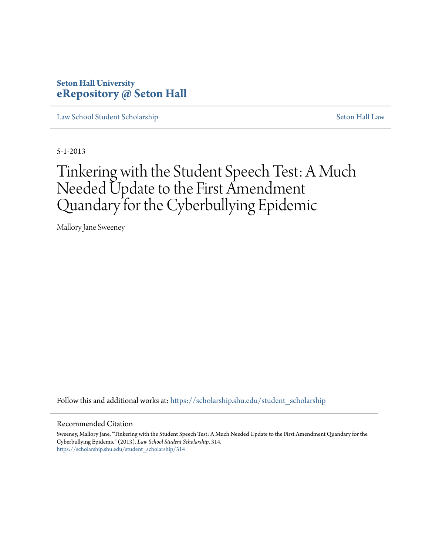## **Seton Hall University [eRepository @ Seton Hall](https://scholarship.shu.edu?utm_source=scholarship.shu.edu%2Fstudent_scholarship%2F314&utm_medium=PDF&utm_campaign=PDFCoverPages)**

[Law School Student Scholarship](https://scholarship.shu.edu/student_scholarship?utm_source=scholarship.shu.edu%2Fstudent_scholarship%2F314&utm_medium=PDF&utm_campaign=PDFCoverPages) [Seton Hall Law](https://scholarship.shu.edu/law?utm_source=scholarship.shu.edu%2Fstudent_scholarship%2F314&utm_medium=PDF&utm_campaign=PDFCoverPages)

5-1-2013

# Tinkering with the Student Speech Test: A Much Needed Update to the First Amendment Quandary for the Cyberbullying Epidemic

Mallory Jane Sweeney

Follow this and additional works at: [https://scholarship.shu.edu/student\\_scholarship](https://scholarship.shu.edu/student_scholarship?utm_source=scholarship.shu.edu%2Fstudent_scholarship%2F314&utm_medium=PDF&utm_campaign=PDFCoverPages)

#### Recommended Citation

Sweeney, Mallory Jane, "Tinkering with the Student Speech Test: A Much Needed Update to the First Amendment Quandary for the Cyberbullying Epidemic" (2013). *Law School Student Scholarship*. 314. [https://scholarship.shu.edu/student\\_scholarship/314](https://scholarship.shu.edu/student_scholarship/314?utm_source=scholarship.shu.edu%2Fstudent_scholarship%2F314&utm_medium=PDF&utm_campaign=PDFCoverPages)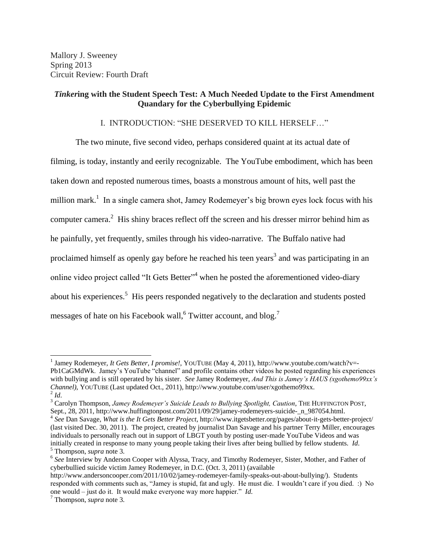## *Tinker***ing with the Student Speech Test: A Much Needed Update to the First Amendment Quandary for the Cyberbullying Epidemic**

## I. INTRODUCTION: "SHE DESERVED TO KILL HERSELF…"

The two minute, five second video, perhaps considered quaint at its actual date of filming, is today, instantly and eerily recognizable. The YouTube embodiment, which has been taken down and reposted numerous times, boasts a monstrous amount of hits, well past the million mark.<sup>1</sup> In a single camera shot, Jamey Rodemeyer's big brown eyes lock focus with his computer camera.<sup>2</sup> His shiny braces reflect off the screen and his dresser mirror behind him as he painfully, yet frequently, smiles through his video-narrative. The Buffalo native had proclaimed himself as openly gay before he reached his teen years<sup>3</sup> and was participating in an online video project called "It Gets Better"<sup>4</sup> when he posted the aforementioned video-diary about his experiences.<sup>5</sup> His peers responded negatively to the declaration and students posted messages of hate on his Facebook wall,  $6$  Twitter account, and blog.<sup>7</sup>

<span id="page-1-0"></span><sup>&</sup>lt;sup>1</sup> Jamey Rodemeyer, *It Gets Better, I promise!*, YOUTUBE (May 4, 2011), http://www.youtube.com/watch?v=-Pb1CaGMdWk. Jamey's YouTube "channel" and profile contains other videos he posted regarding his experiences with bullying and is still operated by his sister. *See* Jamey Rodemeyer, *And This is Jamey's HAUS (xgothemo99xx's Channel)*, YOUTUBE (Last updated Oct., 2011), http://www.youtube.com/user/xgothemo99xx.  $^2$ *Id.* 

<sup>&</sup>lt;sup>3</sup> Carolyn Thompson, *Jamey Rodemeyer's Suicide Leads to Bullying Spotlight, Caution*, THE HUFFINGTON POST, Sept., 28, 2011, http://www.huffingtonpost.com/2011/09/29/jamey-rodemeyers-suicide- n 987054.html.

<sup>4</sup> *See* Dan Savage, *What is the It Gets Better Project*, http://www.itgetsbetter.org/pages/about-it-gets-better-project/ (last visited Dec. 30, 2011). The project, created by journalist Dan Savage and his partner Terry Miller, encourages individuals to personally reach out in support of LBGT youth by posting user-made YouTube Videos and was initially created in response to many young people taking their lives after being bullied by fellow students. *Id*. <sup>5</sup> Thompson, *supra* note 3.

<sup>&</sup>lt;sup>6</sup> See Interview by Anderson Cooper with Alyssa, Tracy, and Timothy Rodemeyer, Sister, Mother, and Father of cyberbullied suicide victim Jamey Rodemeyer, in D.C. (Oct. 3, 2011) (available

http://www.andersoncooper.com/2011/10/02/jamey-rodemeyer-family-speaks-out-about-bullying/). Students responded with comments such as, "Jamey is stupid, fat and ugly. He must die. I wouldn't care if you died. :) No one would – just do it. It would make everyone way more happier." *Id*.

<sup>7</sup> Thompson, *supra* note 3.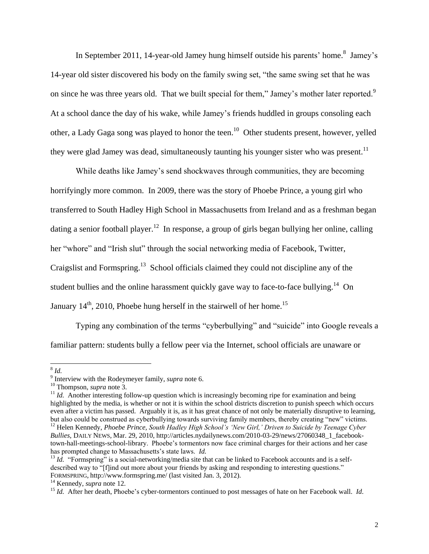In September 2011, 14-year-old Jamey hung himself outside his parents' home.<sup>8</sup> Jamey's 14-year old sister discovered his body on the family swing set, "the same swing set that he was on since he was three years old. That we built special for them," Jamey's mother later reported.<sup>9</sup> At a school dance the day of his wake, while Jamey's friends huddled in groups consoling each other, a Lady Gaga song was played to honor the teen.<sup>10</sup> Other students present, however, yelled they were glad Jamey was dead, simultaneously taunting his younger sister who was present.<sup>11</sup>

<span id="page-2-1"></span><span id="page-2-0"></span>While deaths like Jamey's send shockwaves through communities, they are becoming horrifyingly more common. In 2009, there was the story of Phoebe Prince, a young girl who transferred to South Hadley High School in Massachusetts from Ireland and as a freshman began dating a senior football player.<sup>12</sup> In response, a group of girls began bullying her online, calling her "whore" and "Irish slut" through the social networking media of Facebook, Twitter, Craigslist and Formspring.<sup>13</sup> School officials claimed they could not discipline any of the student bullies and the online harassment quickly gave way to face-to-face bullying.<sup>14</sup> On January  $14<sup>th</sup>$ , 2010, Phoebe hung herself in the stairwell of her home.<sup>15</sup>

Typing any combination of the terms "cyberbullying" and "suicide" into Google reveals a familiar pattern: students bully a fellow peer via the Internet, school officials are unaware or

 8 *Id.* 

<sup>9</sup> Interview with the Rodeymeyer family, *supra* note [6.](#page-1-0) 

<sup>10</sup> Thompson, *supra* note 3.

 $11$  *Id.* Another interesting follow-up question which is increasingly becoming ripe for examination and being highlighted by the media, is whether or not it is within the school districts discretion to punish speech which occurs even after a victim has passed. Arguably it is, as it has great chance of not only be materially disruptive to learning, but also could be construed as cyberbullying towards surviving family members, thereby creating "new" victims. <sup>12</sup> Helen Kennedy, *Phoebe Prince, South Hadley High School's 'New Girl,' Driven to Suicide by Teenage Cyber Bullies*, DAILY NEWS, Mar. 29, 2010, http://articles.nydailynews.com/2010-03-29/news/27060348\_1\_facebook-

town-hall-meetings-school-library. Phoebe's tormentors now face criminal charges for their actions and her case has prompted change to Massachusetts's state laws. *Id.*

<sup>&</sup>lt;sup>13</sup> *Id.* "Formspring" is a social-networking/media site that can be linked to Facebook accounts and is a selfdescribed way to "[f]ind out more about your friends by asking and responding to interesting questions." FORMSPRING, http://www.formspring.me/ (last visited Jan. 3, 2012).

<sup>14</sup> Kennedy, *supra* note 12.

<sup>&</sup>lt;sup>15</sup> *Id.* After her death, Phoebe's cyber-tormentors continued to post messages of hate on her Facebook wall. *Id.*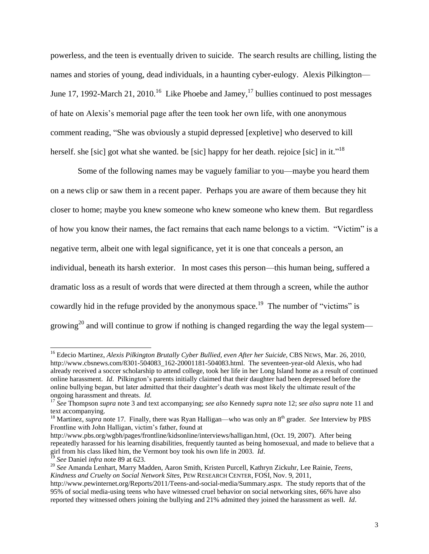powerless, and the teen is eventually driven to suicide. The search results are chilling, listing the names and stories of young, dead individuals, in a haunting cyber-eulogy. Alexis Pilkington— June 17, 1992-March 21, 2010.<sup>16</sup> Like Phoebe and Jamey,  $17$  bullies continued to post messages of hate on Alexis's memorial page after the teen took her own life, with one anonymous comment reading, "She was obviously a stupid depressed [expletive] who deserved to kill herself. she [sic] got what she wanted. be [sic] happy for her death. rejoice [sic] in it."<sup>18</sup>

Some of the following names may be vaguely familiar to you—maybe you heard them on a news clip or saw them in a recent paper. Perhaps you are aware of them because they hit closer to home; maybe you knew someone who knew someone who knew them. But regardless of how you know their names, the fact remains that each name belongs to a victim. "Victim" is a negative term, albeit one with legal significance, yet it is one that conceals a person, an individual, beneath its harsh exterior. In most cases this person—this human being, suffered a dramatic loss as a result of words that were directed at them through a screen, while the author cowardly hid in the refuge provided by the anonymous space.<sup>19</sup> The number of "victims" is growing<sup>20</sup> and will continue to grow if nothing is changed regarding the way the legal system—

<sup>16</sup> Edecio Martinez, *Alexis Pilkington Brutally Cyber Bullied, even After her Suicide*, CBS NEWS, Mar. 26, 2010, http://www.cbsnews.com/8301-504083\_162-20001181-504083.html. The seventeen-year-old Alexis, who had already received a soccer scholarship to attend college, took her life in her Long Island home as a result of continued online harassment. *Id*. Pilkington's parents initially claimed that their daughter had been depressed before the online bullying began, but later admitted that their daughter's death was most likely the ultimate result of the ongoing harassment and threats. *Id.* 

<sup>17</sup> *See* Thompson *supra* note 3 and text accompanying; *see also* Kennedy *supra* note [12;](#page-2-0) *see also supra* note [11](#page-2-1) and text accompanying.

<sup>&</sup>lt;sup>18</sup> Martinez, *supra* note 17. Finally, there was Ryan Halligan—who was only an 8<sup>th</sup> grader. *See* Interview by PBS Frontline with John Halligan, victim's father, found at

http://www.pbs.org/wgbh/pages/frontline/kidsonline/interviews/halligan.html, (Oct. 19, 2007). After being repeatedly harassed for his learning disabilities, frequently taunted as being homosexual, and made to believe that a girl from his class liked him, the Vermont boy took his own life in 2003. *Id*.

<sup>19</sup> *See* Daniel *infra* note [89](#page-14-0) at 623.

<sup>20</sup> *See* Amanda Lenhart, Marry Madden, Aaron Smith, Kristen Purcell, Kathryn Zickuhr, Lee Rainie, *Teens, Kindness and Cruelty on Social Network Sites*, PEW RESEARCH CENTER, FOSI, Nov. 9, 2011,

http://www.pewinternet.org/Reports/2011/Teens-and-social-media/Summary.aspx. The study reports that of the 95% of social media-using teens who have witnessed cruel behavior on social networking sites, 66% have also reported they witnessed others joining the bullying and 21% admitted they joined the harassment as well. *Id*.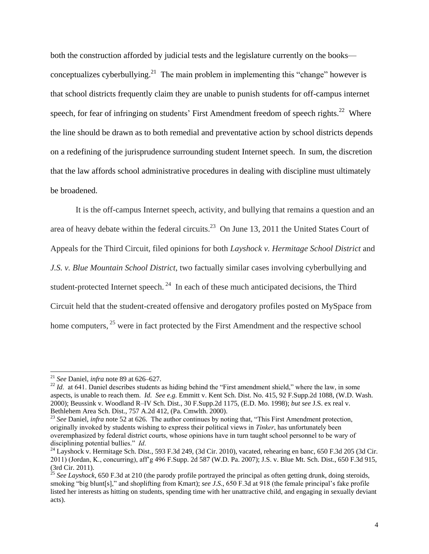both the construction afforded by judicial tests and the legislature currently on the books conceptualizes cyberbullying.<sup>21</sup> The main problem in implementing this "change" however is that school districts frequently claim they are unable to punish students for off-campus internet speech, for fear of infringing on students' First Amendment freedom of speech rights.<sup>22</sup> Where the line should be drawn as to both remedial and preventative action by school districts depends on a redefining of the jurisprudence surrounding student Internet speech. In sum, the discretion that the law affords school administrative procedures in dealing with discipline must ultimately be broadened.

It is the off-campus Internet speech, activity, and bullying that remains a question and an area of heavy debate within the federal circuits.<sup>23</sup> On June 13, 2011 the United States Court of Appeals for the Third Circuit, filed opinions for both *Layshock v. Hermitage School District* and *J.S. v. Blue Mountain School District*, two factually similar cases involving cyberbullying and student-protected Internet speech.<sup>24</sup> In each of these much anticipated decisions, the Third Circuit held that the student-created offensive and derogatory profiles posted on MySpace from home computers, <sup>25</sup> were in fact protected by the First Amendment and the respective school

<sup>21</sup> *See* Daniel, *infra* not[e 89](#page-14-0) at 626–627.

<sup>&</sup>lt;sup>22</sup> *Id.* at 641. Daniel describes students as hiding behind the "First amendment shield," where the law, in some aspects, is unable to reach them. *Id. See e.g.* Emmitt v. Kent Sch. Dist. No. 415, 92 F.Supp.2d 1088, (W.D. Wash. 2000); Beussink v. Woodland R–IV Sch. Dist., 30 F.Supp.2d 1175, (E.D. Mo. 1998); *but see* J.S. ex real v. Bethlehem Area Sch. Dist., 757 A.2d 412, (Pa. Cmwlth. 2000).

<sup>&</sup>lt;sup>23</sup> *See* Daniel, *infra* note 52 at 626. The author continues by noting that, "This First Amendment protection, originally invoked by students wishing to express their political views in *Tinker*, has unfortunately been overemphasized by federal district courts, whose opinions have in turn taught school personnel to be wary of disciplining potential bullies." *Id*.

 $^{24}$  Layshock v. Hermitage Sch. Dist., 593 F.3d 249, (3d Cir. 2010), vacated, rehearing en banc, 650 F.3d 205 (3d Cir. 2011) (Jordan, K., concurring), aff'g 496 F.Supp. 2d 587 (W.D. Pa. 2007); J.S. v. Blue Mt. Sch. Dist., 650 F.3d 915, (3rd Cir. 2011).

<sup>&</sup>lt;sup>25</sup> See Layshock, 650 F.3d at 210 (the parody profile portrayed the principal as often getting drunk, doing steroids, smoking "big blunt[s]," and shoplifting from Kmart); *see J.S*., 650 F.3d at 918 (the female principal's fake profile listed her interests as hitting on students, spending time with her unattractive child, and engaging in sexually deviant acts).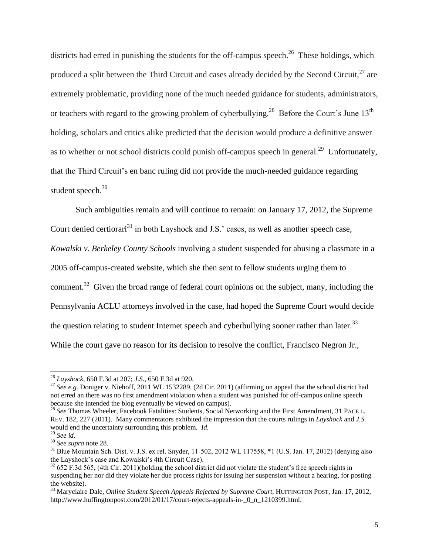<span id="page-5-0"></span>districts had erred in punishing the students for the off-campus speech.<sup>26</sup> These holdings, which produced a split between the Third Circuit and cases already decided by the Second Circuit, $^{27}$  are extremely problematic, providing none of the much needed guidance for students, administrators, or teachers with regard to the growing problem of cyberbullying.<sup>28</sup> Before the Court's June 13<sup>th</sup> holding, scholars and critics alike predicted that the decision would produce a definitive answer as to whether or not school districts could punish off-campus speech in general.<sup>29</sup> Unfortunately, that the Third Circuit's en banc ruling did not provide the much-needed guidance regarding student speech.<sup>30</sup>

Such ambiguities remain and will continue to remain: on January 17, 2012, the Supreme Court denied certiorari<sup>31</sup> in both Layshock and J.S.' cases, as well as another speech case, *Kowalski v. Berkeley County Schools* involving a student suspended for abusing a classmate in a 2005 off-campus-created website, which she then sent to fellow students urging them to comment.<sup>32</sup> Given the broad range of federal court opinions on the subject, many, including the Pennsylvania ACLU attorneys involved in the case, had hoped the Supreme Court would decide the question relating to student Internet speech and cyberbullying sooner rather than later.<sup>33</sup> While the court gave no reason for its decision to resolve the conflict, Francisco Negron Jr.,

<sup>26</sup> *Layshock*, 650 F.3d at 207; *J.S.*, 650 F.3d at 920.

<sup>27</sup> *See e.g.* Doniger v. Niehoff, 2011 WL 1532289, (2d Cir. 2011) (affirming on appeal that the school district had not erred an there was no first amendment violation when a student was punished for off-campus online speech because she intended the blog eventually be viewed on campus).

<sup>28</sup> *See* Thomas Wheeler, Facebook Fatalities: Students, Social Networking and the First Amendment, 31 PACE L. REV. 182, 227 (2011). Many commentators exhibited the impression that the courts rulings in *Layshock* and *J.S.* would end the uncertainty surrounding this problem. *Id.*

<sup>29</sup> *See id*.

<sup>30</sup> *See supra* note 28.

 $31$  Blue Mountain Sch. Dist. v. J.S. ex rel. Snyder, 11-502, 2012 WL 117558,  $*1$  (U.S. Jan. 17, 2012) (denying also the Layshock's case and Kowalski's 4th Circuit Case).

 $32\,652$  F.3d 565, (4th Cir. 2011)(holding the school district did not violate the student's free speech rights in suspending her nor did they violate her due process rights for issuing her suspension without a hearing, for posting the website).

<sup>&</sup>lt;sup>33</sup> Maryclaire Dale, *Online Student Speech Appeals Rejected by Supreme Court*, HUFFINGTON POST, Jan. 17, 2012, http://www.huffingtonpost.com/2012/01/17/court-rejects-appeals-in- 0\_n\_1210399.html.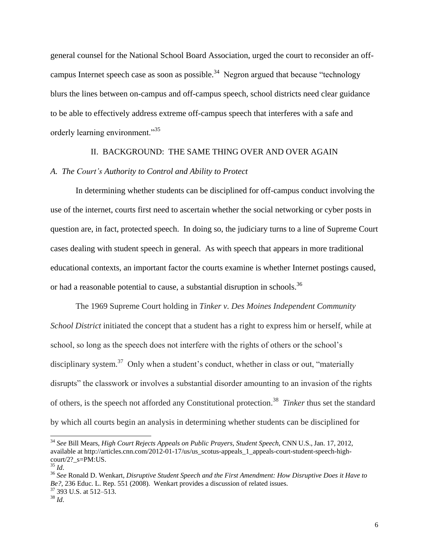general counsel for the National School Board Association, urged the court to reconsider an offcampus Internet speech case as soon as possible.<sup>34</sup> Negron argued that because "technology" blurs the lines between on-campus and off-campus speech, school districts need clear guidance to be able to effectively address extreme off-campus speech that interferes with a safe and orderly learning environment."<sup>35</sup>

## II. BACKGROUND: THE SAME THING OVER AND OVER AGAIN

## *A. The Court's Authority to Control and Ability to Protect*

In determining whether students can be disciplined for off-campus conduct involving the use of the internet, courts first need to ascertain whether the social networking or cyber posts in question are, in fact, protected speech. In doing so, the judiciary turns to a line of Supreme Court cases dealing with student speech in general. As with speech that appears in more traditional educational contexts, an important factor the courts examine is whether Internet postings caused, or had a reasonable potential to cause, a substantial disruption in schools.<sup>36</sup>

The 1969 Supreme Court holding in *Tinker v. Des Moines Independent Community School District* initiated the concept that a student has a right to express him or herself, while at school, so long as the speech does not interfere with the rights of others or the school's disciplinary system.<sup>37</sup> Only when a student's conduct, whether in class or out, "materially disrupts" the classwork or involves a substantial disorder amounting to an invasion of the rights of others, is the speech not afforded any Constitutional protection.<sup>38</sup> Tinker thus set the standard by which all courts begin an analysis in determining whether students can be disciplined for

<sup>34</sup> *See* Bill Mears, *High Court Rejects Appeals on Public Prayers, Student Speech*, CNN U.S., Jan. 17, 2012, available at http://articles.cnn.com/2012-01-17/us/us\_scotus-appeals\_1\_appeals-court-student-speech-highcourt/2?  $s=PM:US$ .

<sup>35</sup> *Id*.

<sup>36</sup> *See* Ronald D. Wenkart, *Disruptive Student Speech and the First Amendment: How Disruptive Does it Have to Be?*, 236 Educ. L. Rep. 551 (2008). Wenkart provides a discussion of related issues. <sup>37</sup> 393 U.S. at 512–513.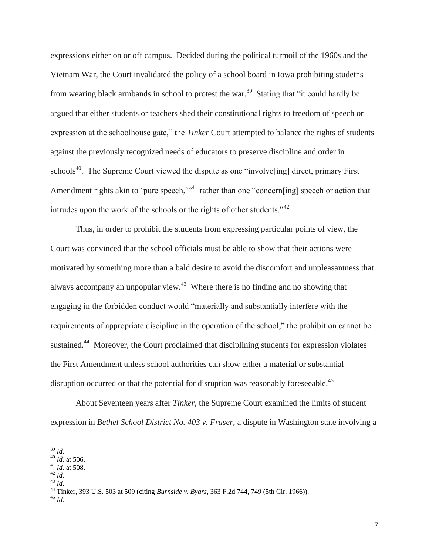expressions either on or off campus. Decided during the political turmoil of the 1960s and the Vietnam War, the Court invalidated the policy of a school board in Iowa prohibiting studetns from wearing black armbands in school to protest the war.<sup>39</sup> Stating that "it could hardly be argued that either students or teachers shed their constitutional rights to freedom of speech or expression at the schoolhouse gate," the *Tinker* Court attempted to balance the rights of students against the previously recognized needs of educators to preserve discipline and order in schools<sup>40</sup>. The Supreme Court viewed the dispute as one "involve [ing] direct, primary First Amendment rights akin to 'pure speech,"<sup>41</sup> rather than one "concern[ing] speech or action that intrudes upon the work of the schools or the rights of other students."<sup>42</sup>

Thus, in order to prohibit the students from expressing particular points of view, the Court was convinced that the school officials must be able to show that their actions were motivated by something more than a bald desire to avoid the discomfort and unpleasantness that always accompany an unpopular view. $43$  Where there is no finding and no showing that engaging in the forbidden conduct would "materially and substantially interfere with the requirements of appropriate discipline in the operation of the school," the prohibition cannot be sustained.<sup>44</sup> Moreover, the Court proclaimed that disciplining students for expression violates the First Amendment unless school authorities can show either a material or substantial disruption occurred or that the potential for disruption was reasonably foreseeable.<sup>45</sup>

About Seventeen years after *Tinker*, the Supreme Court examined the limits of student expression in *Bethel School District No. 403 v. Fraser*, a dispute in Washington state involving a

 $^{43}$  *Id.* 

 <sup>39</sup> *Id.*

 $^{40}$  *Id.* at 506.

<sup>41</sup> *Id.* at 508.

<sup>42</sup> *Id.*

<sup>44</sup> Tinker, 393 U.S. 503 at 509 (citing *Burnside v. Byars*, 363 F.2d 744, 749 (5th Cir. 1966)).

<sup>45</sup> *Id.*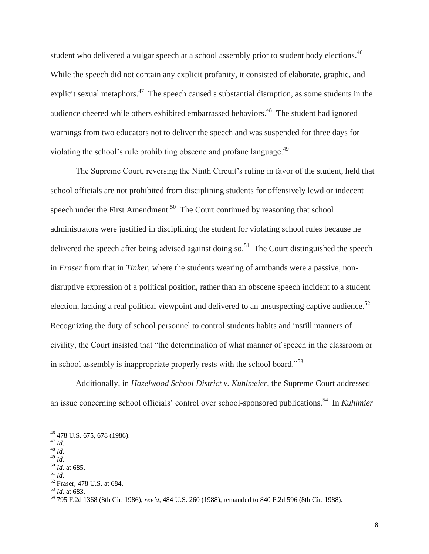student who delivered a vulgar speech at a school assembly prior to student body elections.<sup>46</sup> While the speech did not contain any explicit profanity, it consisted of elaborate, graphic, and explicit sexual metaphors.<sup>47</sup> The speech caused s substantial disruption, as some students in the audience cheered while others exhibited embarrassed behaviors.<sup>48</sup> The student had ignored warnings from two educators not to deliver the speech and was suspended for three days for violating the school's rule prohibiting obscene and profane language.<sup>49</sup>

The Supreme Court, reversing the Ninth Circuit's ruling in favor of the student, held that school officials are not prohibited from disciplining students for offensively lewd or indecent speech under the First Amendment.<sup>50</sup> The Court continued by reasoning that school administrators were justified in disciplining the student for violating school rules because he delivered the speech after being advised against doing so.<sup>51</sup> The Court distinguished the speech in *Fraser* from that in *Tinker*, where the students wearing of armbands were a passive, nondisruptive expression of a political position, rather than an obscene speech incident to a student election, lacking a real political viewpoint and delivered to an unsuspecting captive audience.<sup>52</sup> Recognizing the duty of school personnel to control students habits and instill manners of civility, the Court insisted that "the determination of what manner of speech in the classroom or in school assembly is inappropriate properly rests with the school board."<sup>53</sup>

Additionally, in *Hazelwood School District v. Kuhlmeier*, the Supreme Court addressed an issue concerning school officials' control over school-sponsored publications.<sup>54</sup> In *Kuhlmier*

<sup>50</sup> *Id.* at 685. <sup>51</sup> *Id.*

<sup>&</sup>lt;sup>46</sup> 478 U.S. 675, 678 (1986).

<sup>47</sup> *Id.*

<sup>48</sup> *Id.*

<sup>49</sup> *Id.*

<sup>52</sup> Fraser, 478 U.S. at 684.

<sup>53</sup> *Id.* at 683.

<sup>54</sup> 795 F.2d 1368 (8th Cir. 1986), *rev'd*, 484 U.S. 260 (1988), remanded to 840 F.2d 596 (8th Cir. 1988).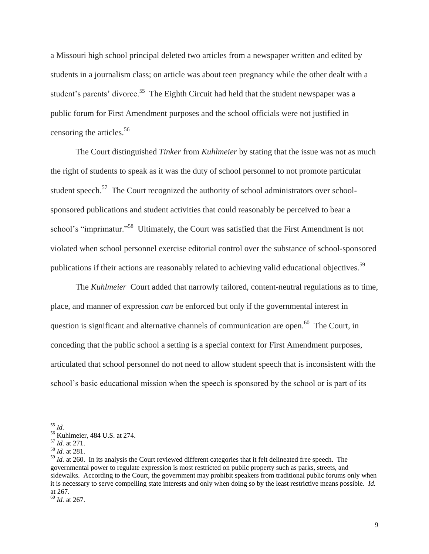a Missouri high school principal deleted two articles from a newspaper written and edited by students in a journalism class; on article was about teen pregnancy while the other dealt with a student's parents' divorce.<sup>55</sup> The Eighth Circuit had held that the student newspaper was a public forum for First Amendment purposes and the school officials were not justified in censoring the articles.<sup>56</sup>

The Court distinguished *Tinker* from *Kuhlmeier* by stating that the issue was not as much the right of students to speak as it was the duty of school personnel to not promote particular student speech.<sup>57</sup> The Court recognized the authority of school administrators over schoolsponsored publications and student activities that could reasonably be perceived to bear a school's "imprimatur."<sup>58</sup> Ultimately, the Court was satisfied that the First Amendment is not violated when school personnel exercise editorial control over the substance of school-sponsored publications if their actions are reasonably related to achieving valid educational objectives.<sup>59</sup>

The *Kuhlmeier* Court added that narrowly tailored, content-neutral regulations as to time, place, and manner of expression *can* be enforced but only if the governmental interest in question is significant and alternative channels of communication are open.<sup>60</sup> The Court, in conceding that the public school a setting is a special context for First Amendment purposes, articulated that school personnel do not need to allow student speech that is inconsistent with the school's basic educational mission when the speech is sponsored by the school or is part of its

 <sup>55</sup> *Id.*

<sup>56</sup> Kuhlmeier, 484 U.S. at 274.

<sup>57</sup> *Id.* at 271.

<sup>58</sup> *Id.* at 281.

<sup>&</sup>lt;sup>59</sup> *Id.* at 260. In its analysis the Court reviewed different categories that it felt delineated free speech. The governmental power to regulate expression is most restricted on public property such as parks, streets, and sidewalks. According to the Court, the government may prohibit speakers from traditional public forums only when it is necessary to serve compelling state interests and only when doing so by the least restrictive means possible. *Id.* at 267.

<sup>60</sup> *Id.* at 267.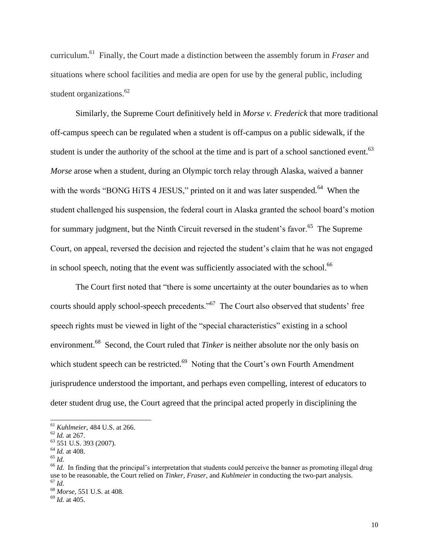curriculum.<sup>61</sup> Finally, the Court made a distinction between the assembly forum in *Fraser* and situations where school facilities and media are open for use by the general public, including student organizations.<sup>62</sup>

Similarly, the Supreme Court definitively held in *Morse v. Frederick* that more traditional off-campus speech can be regulated when a student is off-campus on a public sidewalk, if the student is under the authority of the school at the time and is part of a school sanctioned event.<sup>63</sup> *Morse* arose when a student, during an Olympic torch relay through Alaska, waived a banner with the words "BONG HiTS 4 JESUS," printed on it and was later suspended. $^{64}$  When the student challenged his suspension, the federal court in Alaska granted the school board's motion for summary judgment, but the Ninth Circuit reversed in the student's favor.<sup>65</sup> The Supreme Court, on appeal, reversed the decision and rejected the student's claim that he was not engaged in school speech, noting that the event was sufficiently associated with the school.<sup>66</sup>

The Court first noted that "there is some uncertainty at the outer boundaries as to when courts should apply school-speech precedents."<sup>67</sup> The Court also observed that students' free speech rights must be viewed in light of the "special characteristics" existing in a school environment.<sup>68</sup> Second, the Court ruled that *Tinker* is neither absolute nor the only basis on which student speech can be restricted.<sup>69</sup> Noting that the Court's own Fourth Amendment jurisprudence understood the important, and perhaps even compelling, interest of educators to deter student drug use, the Court agreed that the principal acted properly in disciplining the

<sup>61</sup> *Kuhlmeier*, 484 U.S. at 266.

<sup>62</sup> *Id.* at 267.

<sup>63</sup> 551 U.S. 393 (2007).

<sup>64</sup> *Id.* at 408.

<sup>65</sup> *Id.*

<sup>&</sup>lt;sup>66</sup> *Id.* In finding that the principal's interpretation that students could perceive the banner as promoting illegal drug use to be reasonable, the Court relied on *Tinker*, *Fraser*, and *Kuhlmeier* in conducting the two-part analysis. <sup>67</sup> *Id.*

<sup>68</sup> *Morse*, 551 U.S. at 408.

<sup>69</sup> *Id.* at 405.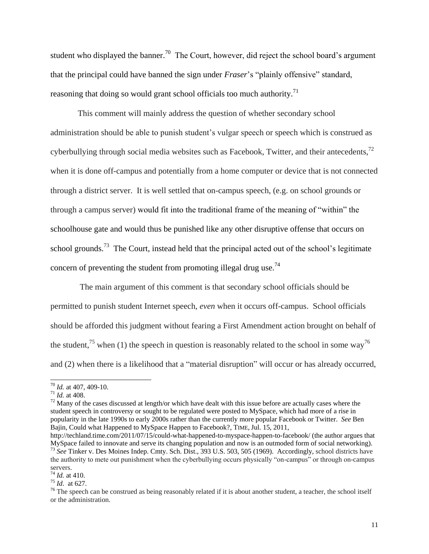student who displayed the banner.<sup>70</sup> The Court, however, did reject the school board's argument that the principal could have banned the sign under *Fraser*'s "plainly offensive" standard, reasoning that doing so would grant school officials too much authority.<sup>71</sup>

<span id="page-11-0"></span>This comment will mainly address the question of whether secondary school administration should be able to punish student's vulgar speech or speech which is construed as cyberbullying through social media websites such as Facebook, Twitter, and their antecedents,  $72$ when it is done off-campus and potentially from a home computer or device that is not connected through a district server. It is well settled that on-campus speech, (e.g. on school grounds or through a campus server) would fit into the traditional frame of the meaning of "within" the schoolhouse gate and would thus be punished like any other disruptive offense that occurs on school grounds.<sup>73</sup> The Court, instead held that the principal acted out of the school's legitimate concern of preventing the student from promoting illegal drug use.<sup>74</sup>

 The main argument of this comment is that secondary school officials should be permitted to punish student Internet speech, *even* when it occurs off-campus. School officials should be afforded this judgment without fearing a First Amendment action brought on behalf of the student,<sup>75</sup> when (1) the speech in question is reasonably related to the school in some way<sup>76</sup> and (2) when there is a likelihood that a "material disruption" will occur or has already occurred,

<sup>70</sup> *Id.* at 407, 409-10.

 $71$  *Id.* at 408.

 $72$  Many of the cases discussed at length/or which have dealt with this issue before are actually cases where the student speech in controversy or sought to be regulated were posted to MySpace, which had more of a rise in popularity in the late 1990s to early 2000s rather than the currently more popular Facebook or Twitter. *See* Ben Bajin, Could what Happened to MySpace Happen to Facebook?, TIME, Jul. 15, 2011,

http://techland.time.com/2011/07/15/could-what-happened-to-myspace-happen-to-facebook/ (the author argues that MySpace failed to innovate and serve its changing population and now is an outmoded form of social networking). <sup>73</sup> *See* Tinker v. Des Moines Indep. Cmty. Sch. Dist., 393 U.S. 503, 505 (1969). Accordingly, school districts have the authority to mete out punishment when the cyberbullying occurs physically "on-campus" or through on-campus

servers.

<sup>74</sup> *Id.* at 410. <sup>75</sup> *Id*. at 627.

 $76$  The speech can be construed as being reasonably related if it is about another student, a teacher, the school itself or the administration.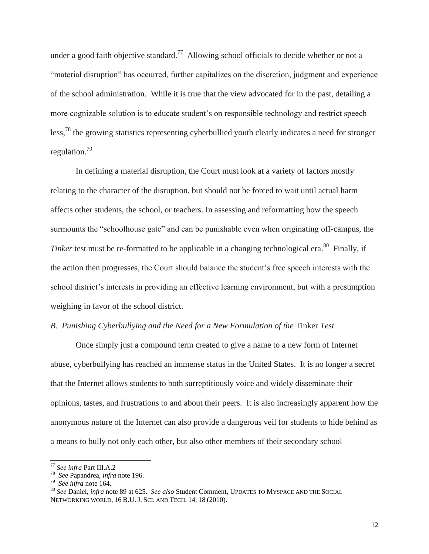under a good faith objective standard.<sup>77</sup> Allowing school officials to decide whether or not a "material disruption" has occurred, further capitalizes on the discretion, judgment and experience of the school administration. While it is true that the view advocated for in the past, detailing a more cognizable solution is to educate student's on responsible technology and restrict speech less,<sup>78</sup> the growing statistics representing cyberbullied youth clearly indicates a need for stronger regulation.<sup>79</sup>

In defining a material disruption, the Court must look at a variety of factors mostly relating to the character of the disruption, but should not be forced to wait until actual harm affects other students, the school, or teachers. In assessing and reformatting how the speech surmounts the "schoolhouse gate" and can be punishable even when originating off-campus, the Tinker test must be re-formatted to be applicable in a changing technological era.<sup>80</sup> Finally, if the action then progresses, the Court should balance the student's free speech interests with the school district's interests in providing an effective learning environment, but with a presumption weighing in favor of the school district.

#### *B. Punishing Cyberbullying and the Need for a New Formulation of the* Tinker *Test*

Once simply just a compound term created to give a name to a new form of Internet abuse, cyberbullying has reached an immense status in the United States. It is no longer a secret that the Internet allows students to both surreptitiously voice and widely disseminate their opinions, tastes, and frustrations to and about their peers. It is also increasingly apparent how the anonymous nature of the Internet can also provide a dangerous veil for students to hide behind as a means to bully not only each other, but also other members of their secondary school

<sup>77</sup> *See infra* Part III.A.2

<sup>78</sup> *See* Papandrea, *infra* note [196.](#page-46-0)

<sup>79</sup> *See infra* not[e 164.](#page-36-0)

<sup>80</sup> *See* Daniel, *infra* not[e 89](#page-14-0) at 625. *See also* Student Comment, UPDATES TO MYSPACE AND THE SOCIAL NETWORKING WORLD, 16 B.U. J. SCI. AND TECH. 14, 18 (2010).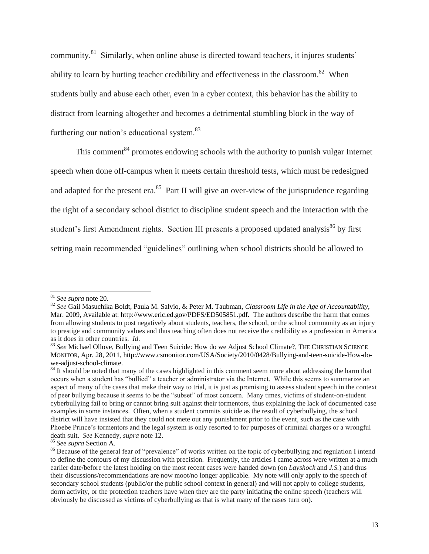community.<sup>81</sup> Similarly, when online abuse is directed toward teachers, it injures students' ability to learn by hurting teacher credibility and effectiveness in the classroom.<sup>82</sup> When students bully and abuse each other, even in a cyber context, this behavior has the ability to distract from learning altogether and becomes a detrimental stumbling block in the way of furthering our nation's educational system.<sup>83</sup>

This comment<sup>84</sup> promotes endowing schools with the authority to punish vulgar Internet speech when done off-campus when it meets certain threshold tests, which must be redesigned and adapted for the present era.<sup>85</sup> Part II will give an over-view of the jurisprudence regarding the right of a secondary school district to discipline student speech and the interaction with the student's first Amendment rights. Section III presents a proposed updated analysis<sup>86</sup> by first setting main recommended "guidelines" outlining when school districts should be allowed to

<sup>81</sup> *See supra* note 20.

<sup>82</sup> *See* Gail Masuchika Boldt, Paula M. Salvio, & Peter M. Taubman, *Classroom Life in the Age of Accountability*, Mar. 2009, Available at: http://www.eric.ed.gov/PDFS/ED505851.pdf. The authors describe the harm that comes from allowing students to post negatively about students, teachers, the school, or the school community as an injury to prestige and community values and thus teaching often does not receive the credibility as a profession in America as it does in other countries. *Id*.

<sup>83</sup> See Michael Ollove, Bullying and Teen Suicide: How do we Adjust School Climate?, THE CHRISTIAN SCIENCE MONITOR, Apr. 28, 2011, http://www.csmonitor.com/USA/Society/2010/0428/Bullying-and-teen-suicide-How-dowe-adjust-school-climate.

<sup>&</sup>lt;sup>84</sup> It should be noted that many of the cases highlighted in this comment seem more about addressing the harm that occurs when a student has "bullied" a teacher or administrator via the Internet. While this seems to summarize an aspect of many of the cases that make their way to trial, it is just as promising to assess student speech in the context of peer bullying because it seems to be the "subset" of most concern. Many times, victims of student-on-student cyberbullying fail to bring or cannot bring suit against their tormentors, thus explaining the lack of documented case examples in some instances. Often, when a student commits suicide as the result of cyberbullying, the school district will have insisted that they could not mete out any punishment prior to the event, such as the case with Phoebe Prince's tormentors and the legal system is only resorted to for purposes of criminal charges or a wrongful death suit. *See* Kennedy, *supra* not[e 12.](#page-2-0)

<sup>85</sup> *See supra* Section A.

<sup>&</sup>lt;sup>86</sup> Because of the general fear of "prevalence" of works written on the topic of cyberbullying and regulation I intend to define the contours of my discussion with precision. Frequently, the articles I came across were written at a much earlier date/before the latest holding on the most recent cases were handed down (on *Layshock* and *J.S.*) and thus their discussions/recommendations are now moot/no longer applicable. My note will only apply to the speech of secondary school students (public/or the public school context in general) and will not apply to college students, dorm activity, or the protection teachers have when they are the party initiating the online speech (teachers will obviously be discussed as victims of cyberbullying as that is what many of the cases turn on).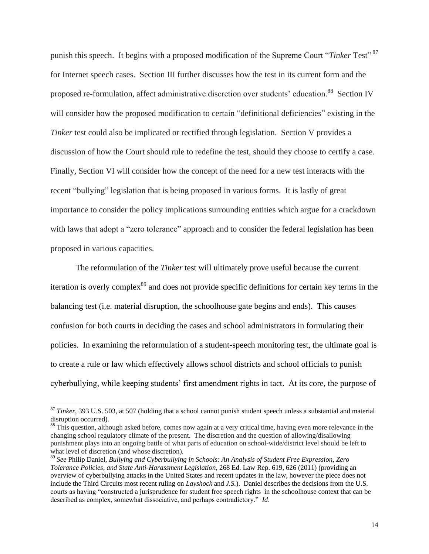punish this speech. It begins with a proposed modification of the Supreme Court "Tinker Test"<sup>87</sup> for Internet speech cases. Section III further discusses how the test in its current form and the proposed re-formulation, affect administrative discretion over students' education.<sup>88</sup> Section IV will consider how the proposed modification to certain "definitional deficiencies" existing in the *Tinker* test could also be implicated or rectified through legislation. Section V provides a discussion of how the Court should rule to redefine the test, should they choose to certify a case. Finally, Section VI will consider how the concept of the need for a new test interacts with the recent "bullying" legislation that is being proposed in various forms. It is lastly of great importance to consider the policy implications surrounding entities which argue for a crackdown with laws that adopt a "zero tolerance" approach and to consider the federal legislation has been proposed in various capacities.

<span id="page-14-0"></span>The reformulation of the *Tinker* test will ultimately prove useful because the current iteration is overly complex<sup>89</sup> and does not provide specific definitions for certain key terms in the balancing test (i.e. material disruption, the schoolhouse gate begins and ends). This causes confusion for both courts in deciding the cases and school administrators in formulating their policies. In examining the reformulation of a student-speech monitoring test, the ultimate goal is to create a rule or law which effectively allows school districts and school officials to punish cyberbullying, while keeping students' first amendment rights in tact. At its core, the purpose of

<sup>87</sup> *Tinker*, 393 U.S. 503, at 507 (holding that a school cannot punish student speech unless a substantial and material disruption occurred).

<sup>&</sup>lt;sup>88</sup> This question, although asked before, comes now again at a very critical time, having even more relevance in the changing school regulatory climate of the present. The discretion and the question of allowing/disallowing punishment plays into an ongoing battle of what parts of education on school-wide/district level should be left to what level of discretion (and whose discretion).

<sup>89</sup> *See* Philip Daniel, *Bullying and Cyberbullying in Schools: An Analysis of Student Free Expression, Zero Tolerance Policies, and State Anti-Harassment Legislation*, 268 Ed. Law Rep. 619, 626 (2011) (providing an overview of cyberbullying attacks in the United States and recent updates in the law, however the piece does not include the Third Circuits most recent ruling on *Layshock* and *J.S.*). Daniel describes the decisions from the U.S. courts as having "constructed a jurisprudence for student free speech rights in the schoolhouse context that can be described as complex, somewhat dissociative, and perhaps contradictory." *Id*.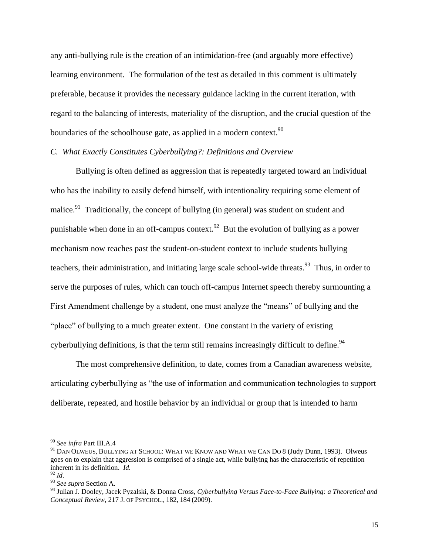any anti-bullying rule is the creation of an intimidation-free (and arguably more effective) learning environment. The formulation of the test as detailed in this comment is ultimately preferable, because it provides the necessary guidance lacking in the current iteration, with regard to the balancing of interests, materiality of the disruption, and the crucial question of the boundaries of the schoolhouse gate, as applied in a modern context. $90$ 

#### *C. What Exactly Constitutes Cyberbullying?: Definitions and Overview*

Bullying is often defined as aggression that is repeatedly targeted toward an individual who has the inability to easily defend himself, with intentionality requiring some element of malice.<sup>91</sup> Traditionally, the concept of bullying (in general) was student on student and punishable when done in an off-campus context.<sup>92</sup> But the evolution of bullying as a power mechanism now reaches past the student-on-student context to include students bullying teachers, their administration, and initiating large scale school-wide threats.<sup>93</sup> Thus, in order to serve the purposes of rules, which can touch off-campus Internet speech thereby surmounting a First Amendment challenge by a student, one must analyze the "means" of bullying and the "place" of bullying to a much greater extent. One constant in the variety of existing cyberbullying definitions, is that the term still remains increasingly difficult to define.<sup>94</sup>

The most comprehensive definition, to date, comes from a Canadian awareness website, articulating cyberbullying as "the use of information and communication technologies to support deliberate, repeated, and hostile behavior by an individual or group that is intended to harm

<sup>90</sup> *See infra* Part III.A.4

<sup>&</sup>lt;sup>91</sup> DAN OLWEUS, BULLYING AT SCHOOL: WHAT WE KNOW AND WHAT WE CAN DO 8 (Judy Dunn, 1993). Olweus goes on to explain that aggression is comprised of a single act, while bullying has the characteristic of repetition inherent in its definition. *Id.*

 $^{92}$  *Id.* 

<sup>93</sup> *See supra* Section A.

<sup>94</sup> Julian J. Dooley, Jacek Pyzalski, & Donna Cross, *Cyberbullying Versus Face-to-Face Bullying: a Theoretical and Conceptual Review*, 217 J. OF PSYCHOL., 182, 184 (2009).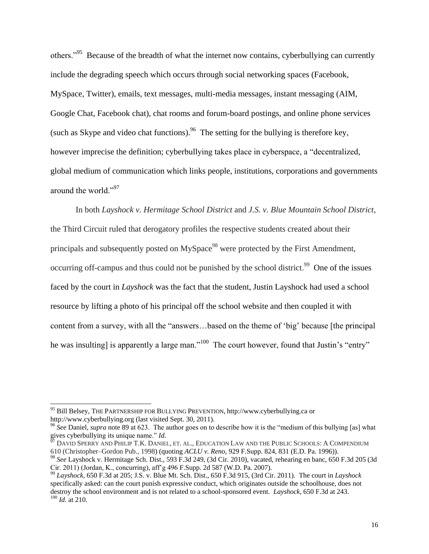others."<sup>95</sup> Because of the breadth of what the internet now contains, cyberbullying can currently include the degrading speech which occurs through social networking spaces (Facebook, MySpace, Twitter), emails, text messages, multi-media messages, instant messaging (AIM, Google Chat, Facebook chat), chat rooms and forum-board postings, and online phone services (such as Skype and video chat functions).<sup>96</sup> The setting for the bullying is therefore key, however imprecise the definition; cyberbullying takes place in cyberspace, a "decentralized, global medium of communication which links people, institutions, corporations and governments around the world."<sup>97</sup>

In both *Layshock v. Hermitage School District* and *J.S. v. Blue Mountain School District*, the Third Circuit ruled that derogatory profiles the respective students created about their principals and subsequently posted on MySpace<sup>98</sup> were protected by the First Amendment, occurring off-campus and thus could not be punished by the school district.<sup>99</sup> One of the issues faced by the court in *Layshock* was the fact that the student, Justin Layshock had used a school resource by lifting a photo of his principal off the school website and then coupled it with content from a survey, with all the "answers…based on the theme of 'big' because [the principal he was insulting] is apparently a large man."<sup>100</sup> The court however, found that Justin's "entry"

<sup>95</sup> Bill Belsey, THE PARTNERSHIP FOR BULLYING PREVENTION, http://www.cyberbullying.ca or http://www.cyberbullying.org (last visited Sept. 30, 2011).

<sup>96</sup> *See* Daniel, *supra* note [89](#page-14-0) at 623. The author goes on to describe how it is the "medium of this bullying [as] what gives cyberbullying its unique name." *Id*.<br>  $\frac{97}{2}$  PAYS Section 2.

<sup>97</sup> DAVID SPERRY AND PHILIP T.K. DANIEL, ET*.* AL., EDUCATION LAW AND THE PUBLIC SCHOOLS: A COMPENDIUM 610 (Christopher–Gordon Pub., 1998) (quoting *ACLU v. Reno*, 929 F.Supp. 824, 831 (E.D. Pa. 1996)).

<sup>98</sup> *See* Layshock v. Hermitage Sch. Dist., 593 F.3d 249, (3d Cir. 2010), vacated, rehearing en banc, 650 F.3d 205 (3d Cir. 2011) (Jordan, K., concurring), aff'g 496 F.Supp. 2d 587 (W.D. Pa. 2007).

<sup>99</sup> *Layshock*, 650 F.3d at 205; J.S. v. Blue Mt. Sch. Dist., 650 F.3d 915, (3rd Cir. 2011). The court in *Layshock* specifically asked: can the court punish expressive conduct, which originates outside the schoolhouse, does not destroy the school environment and is not related to a school-sponsored event. *Layshock*, 650 F.3d at 243. <sup>100</sup> *Id.* at 210.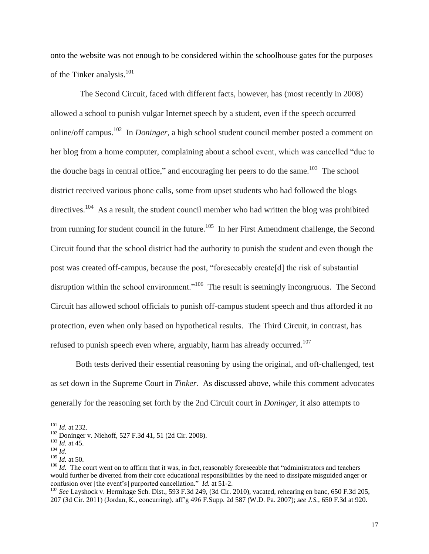onto the website was not enough to be considered within the schoolhouse gates for the purposes of the Tinker analysis.<sup>101</sup>

 The Second Circuit, faced with different facts, however, has (most recently in 2008) allowed a school to punish vulgar Internet speech by a student, even if the speech occurred online/off campus. 102 In *Doninger*, a high school student council member posted a comment on her blog from a home computer, complaining about a school event, which was cancelled "due to the douche bags in central office," and encouraging her peers to do the same. $^{103}$  The school district received various phone calls, some from upset students who had followed the blogs directives.<sup>104</sup> As a result, the student council member who had written the blog was prohibited from running for student council in the future.<sup>105</sup> In her First Amendment challenge, the Second Circuit found that the school district had the authority to punish the student and even though the post was created off-campus, because the post, "foreseeably create[d] the risk of substantial disruption within the school environment.<sup>1106</sup> The result is seemingly incongruous. The Second Circuit has allowed school officials to punish off-campus student speech and thus afforded it no protection, even when only based on hypothetical results. The Third Circuit, in contrast, has refused to punish speech even where, arguably, harm has already occurred.<sup>107</sup>

Both tests derived their essential reasoning by using the original, and oft-challenged, test as set down in the Supreme Court in *Tinker.* As discussed above, while this comment advocates generally for the reasoning set forth by the 2nd Circuit court in *Doninger*, it also attempts to

<sup>101</sup> *Id.* at 232.

<sup>102</sup> Doninger v. Niehoff, 527 F.3d 41, 51 (2d Cir. 2008).

<sup>103</sup> *Id.* at 45.

<sup>104</sup> *Id.*

<sup>105</sup> *Id.* at 50.

<sup>&</sup>lt;sup>106</sup> *Id.* The court went on to affirm that it was, in fact, reasonably foreseeable that "administrators and teachers" would further be diverted from their core educational responsibilities by the need to dissipate misguided anger or confusion over [the event's] purported cancellation." *Id.* at 51-2.

<sup>107</sup> *See* Layshock v. Hermitage Sch. Dist., 593 F.3d 249, (3d Cir. 2010), vacated, rehearing en banc, 650 F.3d 205, 207 (3d Cir. 2011) (Jordan, K., concurring), aff'g 496 F.Supp. 2d 587 (W.D. Pa. 2007); *see J.S.*, 650 F.3d at 920.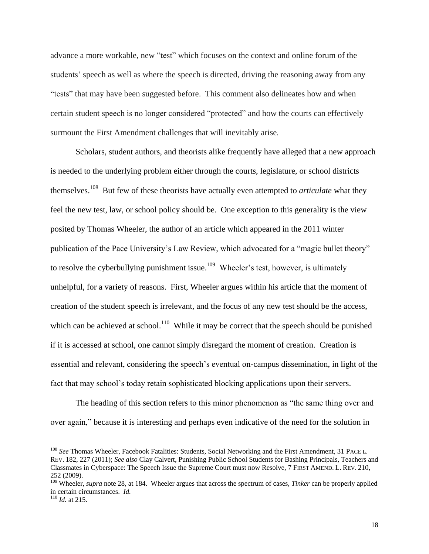advance a more workable, new "test" which focuses on the context and online forum of the students' speech as well as where the speech is directed, driving the reasoning away from any "tests" that may have been suggested before. This comment also delineates how and when certain student speech is no longer considered "protected" and how the courts can effectively surmount the First Amendment challenges that will inevitably arise*.* 

Scholars, student authors, and theorists alike frequently have alleged that a new approach is needed to the underlying problem either through the courts, legislature, or school districts themselves.<sup>108</sup> But few of these theorists have actually even attempted to *articulate* what they feel the new test, law, or school policy should be. One exception to this generality is the view posited by Thomas Wheeler, the author of an article which appeared in the 2011 winter publication of the Pace University's Law Review, which advocated for a "magic bullet theory" to resolve the cyberbullying punishment issue.<sup>109</sup> Wheeler's test, however, is ultimately unhelpful, for a variety of reasons. First, Wheeler argues within his article that the moment of creation of the student speech is irrelevant, and the focus of any new test should be the access, which can be achieved at school.<sup>110</sup> While it may be correct that the speech should be punished if it is accessed at school, one cannot simply disregard the moment of creation. Creation is essential and relevant, considering the speech's eventual on-campus dissemination, in light of the fact that may school's today retain sophisticated blocking applications upon their servers.

The heading of this section refers to this minor phenomenon as "the same thing over and over again," because it is interesting and perhaps even indicative of the need for the solution in

<sup>108</sup> *See* Thomas Wheeler, Facebook Fatalities: Students, Social Networking and the First Amendment, 31 PACE L. REV. 182, 227 (2011); *See also* Clay Calvert, Punishing Public School Students for Bashing Principals, Teachers and Classmates in Cyberspace: The Speech Issue the Supreme Court must now Resolve, 7 FIRST AMEND. L. REV. 210, 252 (2009).

<sup>109</sup> Wheeler, *supra* note 28, at 184. Wheeler argues that across the spectrum of cases, *Tinker* can be properly applied in certain circumstances. *Id.*

<sup>110</sup> *Id.* at 215.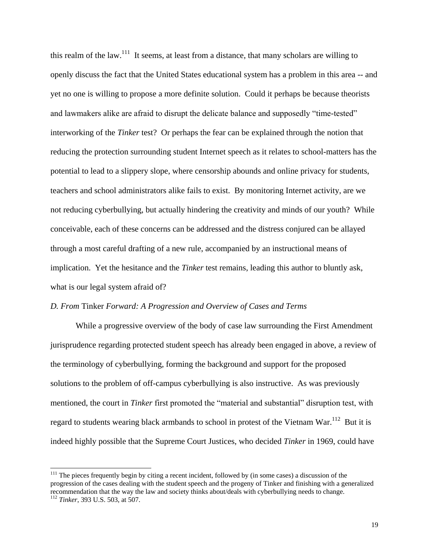this realm of the law.<sup>111</sup> It seems, at least from a distance, that many scholars are willing to openly discuss the fact that the United States educational system has a problem in this area -- and yet no one is willing to propose a more definite solution. Could it perhaps be because theorists and lawmakers alike are afraid to disrupt the delicate balance and supposedly "time-tested" interworking of the *Tinker* test? Or perhaps the fear can be explained through the notion that reducing the protection surrounding student Internet speech as it relates to school-matters has the potential to lead to a slippery slope, where censorship abounds and online privacy for students, teachers and school administrators alike fails to exist. By monitoring Internet activity, are we not reducing cyberbullying, but actually hindering the creativity and minds of our youth? While conceivable, each of these concerns can be addressed and the distress conjured can be allayed through a most careful drafting of a new rule, accompanied by an instructional means of implication. Yet the hesitance and the *Tinker* test remains, leading this author to bluntly ask, what is our legal system afraid of?

#### *D. From* Tinker *Forward: A Progression and Overview of Cases and Terms*

 While a progressive overview of the body of case law surrounding the First Amendment jurisprudence regarding protected student speech has already been engaged in above, a review of the terminology of cyberbullying, forming the background and support for the proposed solutions to the problem of off-campus cyberbullying is also instructive. As was previously mentioned, the court in *Tinker* first promoted the "material and substantial" disruption test, with regard to students wearing black armbands to school in protest of the Vietnam War.<sup>112</sup> But it is indeed highly possible that the Supreme Court Justices, who decided *Tinker* in 1969, could have

<sup>&</sup>lt;sup>111</sup> The pieces frequently begin by citing a recent incident, followed by (in some cases) a discussion of the progression of the cases dealing with the student speech and the progeny of Tinker and finishing with a generalized recommendation that the way the law and society thinks about/deals with cyberbullying needs to change. <sup>112</sup> *Tinker*, 393 U.S. 503, at 507.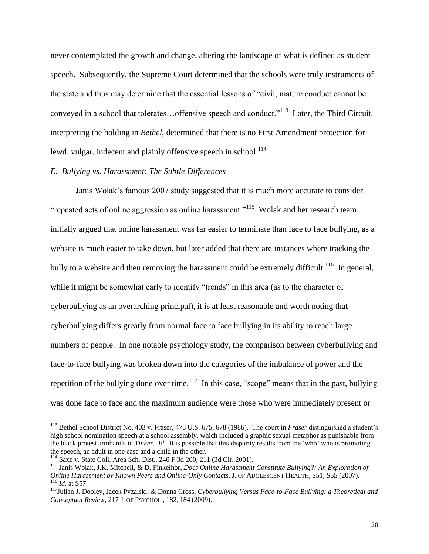never contemplated the growth and change, altering the landscape of what is defined as student speech. Subsequently, the Supreme Court determined that the schools were truly instruments of the state and thus may determine that the essential lessons of "civil, mature conduct cannot be conveyed in a school that tolerates...offensive speech and conduct."<sup>113</sup> Later, the Third Circuit, interpreting the holding in *Bethel*, determined that there is no First Amendment protection for lewd, vulgar, indecent and plainly offensive speech in school.<sup>114</sup>

#### *E. Bullying vs. Harassment: The Subtle Differences*

Janis Wolak's famous 2007 study suggested that it is much more accurate to consider "repeated acts of online aggression as online harassment."<sup>115</sup> Wolak and her research team initially argued that online harassment was far easier to terminate than face to face bullying, as a website is much easier to take down, but later added that there are instances where tracking the bully to a website and then removing the harassment could be extremely difficult.<sup>116</sup> In general, while it might be somewhat early to identify "trends" in this area (as to the character of cyberbullying as an overarching principal), it is at least reasonable and worth noting that cyberbullying differs greatly from normal face to face bullying in its ability to reach large numbers of people. In one notable psychology study, the comparison between cyberbullying and face-to-face bullying was broken down into the categories of the imbalance of power and the repetition of the bullying done over time.<sup>117</sup> In this case, "scope" means that in the past, bullying was done face to face and the maximum audience were those who were immediately present or

<sup>113</sup> Bethel School District No. 403 v. Fraser, 478 U.S. 675, 678 (1986). The court in *Fraser* distinguished a student's high school nomination speech at a school assembly, which included a graphic sexual metaphor as punishable from the black protest armbands in *Tinker*. *Id.* It is possible that this disparity results from the 'who' who is promoting the speech, an adult in one case and a child in the other.

<sup>114</sup> Saxe v. State Coll. Area Sch. Dist., 240 F.3d 200, 211 (3d Cir. 2001).

<sup>115</sup> Janis Wolak, J.K. Mitchell, & D. Finkelhor, *Does Online Harassment Constitute Bullying?: An Exploration of Online Harassment by Known Peers and Online-Only Contacts*, J. OF ADOLESCENT HEALTH, S51, S55 (2007). <sup>116</sup> *Id.* at S57.

<sup>117</sup>Julian J. Dooley, Jacek Pyzalski, & Donna Cross, *Cyberbullying Versus Face-to-Face Bullying: a Theoretical and Conceptual Review*, 217 J. OF PSYCHOL., 182, 184 (2009).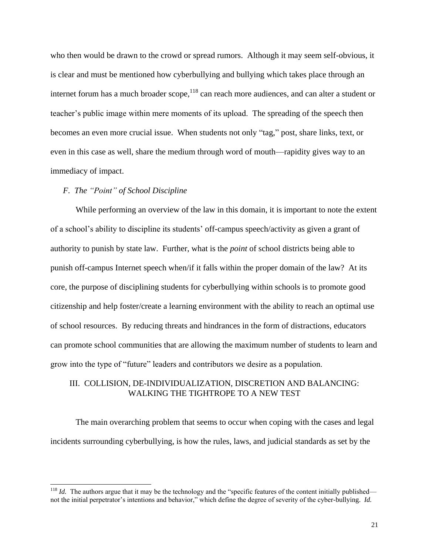who then would be drawn to the crowd or spread rumors. Although it may seem self-obvious, it is clear and must be mentioned how cyberbullying and bullying which takes place through an internet forum has a much broader scope, $118$  can reach more audiences, and can alter a student or teacher's public image within mere moments of its upload. The spreading of the speech then becomes an even more crucial issue. When students not only "tag," post, share links, text, or even in this case as well, share the medium through word of mouth—rapidity gives way to an immediacy of impact.

## *F. The "Point" of School Discipline*

While performing an overview of the law in this domain, it is important to note the extent of a school's ability to discipline its students' off-campus speech/activity as given a grant of authority to punish by state law. Further, what is the *point* of school districts being able to punish off-campus Internet speech when/if it falls within the proper domain of the law? At its core, the purpose of disciplining students for cyberbullying within schools is to promote good citizenship and help foster/create a learning environment with the ability to reach an optimal use of school resources. By reducing threats and hindrances in the form of distractions, educators can promote school communities that are allowing the maximum number of students to learn and grow into the type of "future" leaders and contributors we desire as a population.

## III. COLLISION, DE-INDIVIDUALIZATION, DISCRETION AND BALANCING: WALKING THE TIGHTROPE TO A NEW TEST

The main overarching problem that seems to occur when coping with the cases and legal incidents surrounding cyberbullying, is how the rules, laws, and judicial standards as set by the

 $118$  *Id.* The authors argue that it may be the technology and the "specific features of the content initially published not the initial perpetrator's intentions and behavior," which define the degree of severity of the cyber-bullying. *Id.*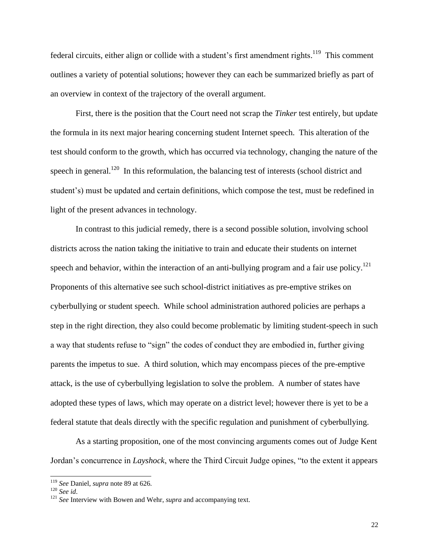federal circuits, either align or collide with a student's first amendment rights.<sup>119</sup> This comment outlines a variety of potential solutions; however they can each be summarized briefly as part of an overview in context of the trajectory of the overall argument.

First, there is the position that the Court need not scrap the *Tinker* test entirely, but update the formula in its next major hearing concerning student Internet speech. This alteration of the test should conform to the growth, which has occurred via technology, changing the nature of the speech in general.<sup>120</sup> In this reformulation, the balancing test of interests (school district and student's) must be updated and certain definitions, which compose the test, must be redefined in light of the present advances in technology.

In contrast to this judicial remedy, there is a second possible solution, involving school districts across the nation taking the initiative to train and educate their students on internet speech and behavior, within the interaction of an anti-bullying program and a fair use policy.<sup>121</sup> Proponents of this alternative see such school-district initiatives as pre-emptive strikes on cyberbullying or student speech. While school administration authored policies are perhaps a step in the right direction, they also could become problematic by limiting student-speech in such a way that students refuse to "sign" the codes of conduct they are embodied in, further giving parents the impetus to sue. A third solution, which may encompass pieces of the pre-emptive attack, is the use of cyberbullying legislation to solve the problem. A number of states have adopted these types of laws, which may operate on a district level; however there is yet to be a federal statute that deals directly with the specific regulation and punishment of cyberbullying.

As a starting proposition, one of the most convincing arguments comes out of Judge Kent Jordan's concurrence in *Layshock*, where the Third Circuit Judge opines, "to the extent it appears

<sup>119</sup> *See* Daniel, *supra* note [89](#page-14-0) at 626.

<sup>120</sup> *See id*.

<sup>&</sup>lt;sup>121</sup> *See* Interview with Bowen and Wehr, *supra* and accompanying text.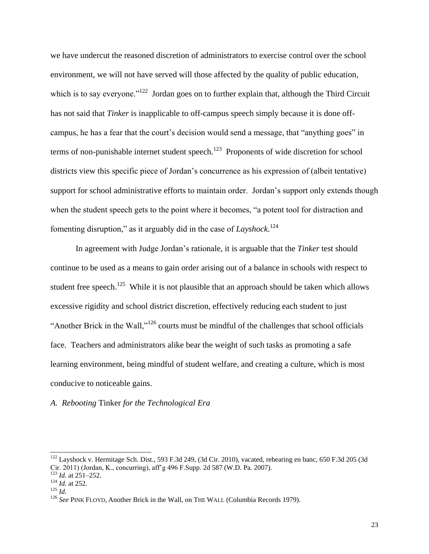we have undercut the reasoned discretion of administrators to exercise control over the school environment, we will not have served will those affected by the quality of public education, which is to say everyone."<sup>122</sup> Jordan goes on to further explain that, although the Third Circuit has not said that *Tinker* is inapplicable to off-campus speech simply because it is done offcampus, he has a fear that the court's decision would send a message, that "anything goes" in terms of non-punishable internet student speech.<sup>123</sup> Proponents of wide discretion for school districts view this specific piece of Jordan's concurrence as his expression of (albeit tentative) support for school administrative efforts to maintain order. Jordan's support only extends though when the student speech gets to the point where it becomes, "a potent tool for distraction and fomenting disruption," as it arguably did in the case of *Layshock*. 124

In agreement with Judge Jordan's rationale, it is arguable that the *Tinker* test should continue to be used as a means to gain order arising out of a balance in schools with respect to student free speech.<sup>125</sup> While it is not plausible that an approach should be taken which allows excessive rigidity and school district discretion, effectively reducing each student to just "Another Brick in the Wall,"<sup>126</sup> courts must be mindful of the challenges that school officials face. Teachers and administrators alike bear the weight of such tasks as promoting a safe learning environment, being mindful of student welfare, and creating a culture, which is most conducive to noticeable gains.

## *A. Rebooting* Tinker *for the Technological Era*

 $122$  Layshock v. Hermitage Sch. Dist., 593 F.3d 249, (3d Cir. 2010), vacated, rehearing en banc, 650 F.3d 205 (3d Cir. 2011) (Jordan, K., concurring), aff'g 496 F.Supp. 2d 587 (W.D. Pa. 2007).

<sup>123</sup> *Id.* at 251–252.  $124$  *Id.* at 252.

 $125$  *Id.* 

<sup>&</sup>lt;sup>126</sup> See PINK FLOYD, Another Brick in the Wall, on THE WALL (Columbia Records 1979).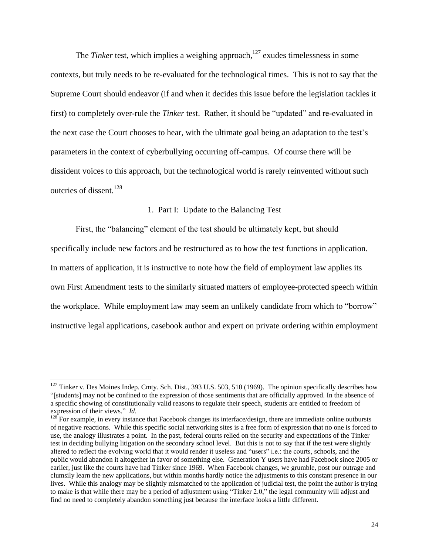The *Tinker* test, which implies a weighing approach,<sup>127</sup> exudes timelessness in some contexts, but truly needs to be re-evaluated for the technological times. This is not to say that the Supreme Court should endeavor (if and when it decides this issue before the legislation tackles it first) to completely over-rule the *Tinker* test. Rather, it should be "updated" and re-evaluated in the next case the Court chooses to hear, with the ultimate goal being an adaptation to the test's parameters in the context of cyberbullying occurring off-campus. Of course there will be dissident voices to this approach, but the technological world is rarely reinvented without such outcries of dissent. $128$ 

## <span id="page-24-0"></span>1. Part I: Update to the Balancing Test

First, the "balancing" element of the test should be ultimately kept, but should specifically include new factors and be restructured as to how the test functions in application. In matters of application, it is instructive to note how the field of employment law applies its own First Amendment tests to the similarly situated matters of employee-protected speech within the workplace. While employment law may seem an unlikely candidate from which to "borrow" instructive legal applications, casebook author and expert on private ordering within employment

 $127$  Tinker v. Des Moines Indep. Cmty. Sch. Dist., 393 U.S. 503, 510 (1969). The opinion specifically describes how "[students] may not be confined to the expression of those sentiments that are officially approved. In the absence of a specific showing of constitutionally valid reasons to regulate their speech, students are entitled to freedom of expression of their views." *Id*.

 $128$  For example, in every instance that Facebook changes its interface/design, there are immediate online outbursts of negative reactions. While this specific social networking sites is a free form of expression that no one is forced to use, the analogy illustrates a point. In the past, federal courts relied on the security and expectations of the Tinker test in deciding bullying litigation on the secondary school level. But this is not to say that if the test were slightly altered to reflect the evolving world that it would render it useless and "users" i.e.: the courts, schools, and the public would abandon it altogether in favor of something else. Generation Y users have had Facebook since 2005 or earlier, just like the courts have had Tinker since 1969. When Facebook changes, we grumble, post our outrage and clumsily learn the new applications, but within months hardly notice the adjustments to this constant presence in our lives. While this analogy may be slightly mismatched to the application of judicial test, the point the author is trying to make is that while there may be a period of adjustment using "Tinker 2.0," the legal community will adjust and find no need to completely abandon something just because the interface looks a little different.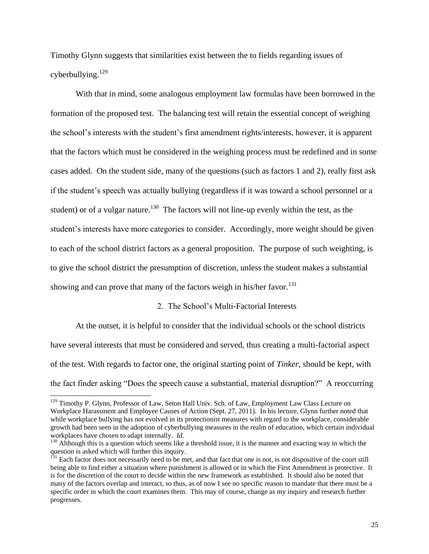Timothy Glynn suggests that similarities exist between the to fields regarding issues of cyberbullying. $129$ 

With that in mind, some analogous employment law formulas have been borrowed in the formation of the proposed test. The balancing test will retain the essential concept of weighing the school's interests with the student's first amendment rights/interests, however, it is apparent that the factors which must be considered in the weighing process must be redefined and in some cases added. On the student side, many of the questions (such as factors 1 and 2), really first ask if the student's speech was actually bullying (regardless if it was toward a school personnel or a student) or of a vulgar nature.<sup>130</sup> The factors will not line-up evenly within the test, as the student's interests have more categories to consider. Accordingly, more weight should be given to each of the school district factors as a general proposition. The purpose of such weighting, is to give the school district the presumption of discretion, unless the student makes a substantial showing and can prove that many of the factors weigh in his/her favor.<sup>131</sup>

## 2. The School's Multi-Factorial Interests

At the outset, it is helpful to consider that the individual schools or the school districts have several interests that must be considered and served, thus creating a multi-factorial aspect of the test. With regards to factor one, the original starting point of *Tinker*, should be kept, with the fact finder asking "Does the speech cause a substantial, material disruption?" A reoccurring

<sup>&</sup>lt;sup>129</sup> Timothy P. Glynn, Professor of Law, Seton Hall Univ. Sch. of Law, Employment Law Class Lecture on Workplace Harassment and Employee Causes of Action (Sept. 27, 2011). In his lecture, Glynn further noted that while workplace bullying has not evolved in its protectionist measures with regard to the workplace, considerable growth had been seen in the adoption of cyberbullying measures in the realm of education, which certain individual workplaces have chosen to adapt internally. *Id*.

<sup>&</sup>lt;sup>130</sup> Although this is a question which seems like a threshold issue, it is the manner and exacting way in which the question is asked which will further this inquiry.

<sup>&</sup>lt;sup>131</sup> Each factor does not necessarily need to be met, and that fact that one is not, is not dispositive of the court still being able to find either a situation where punishment is allowed or in which the First Amendment is protective. It is for the discretion of the court to decide within the new framework as established. It should also be noted that many of the factors overlap and interact, so thus, as of now I see no specific reason to mandate that there must be a specific order in which the court examines them. This may of course, change as my inquiry and research further progresses.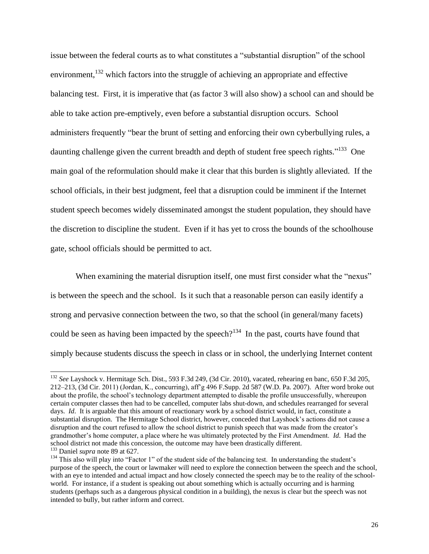issue between the federal courts as to what constitutes a "substantial disruption" of the school environment, $132$  which factors into the struggle of achieving an appropriate and effective balancing test. First, it is imperative that (as factor 3 will also show) a school can and should be able to take action pre-emptively, even before a substantial disruption occurs. School administers frequently "bear the brunt of setting and enforcing their own cyberbullying rules, a daunting challenge given the current breadth and depth of student free speech rights."<sup>133</sup> One main goal of the reformulation should make it clear that this burden is slightly alleviated. If the school officials, in their best judgment, feel that a disruption could be imminent if the Internet student speech becomes widely disseminated amongst the student population, they should have the discretion to discipline the student. Even if it has yet to cross the bounds of the schoolhouse gate, school officials should be permitted to act.

When examining the material disruption itself, one must first consider what the "nexus" is between the speech and the school. Is it such that a reasonable person can easily identify a strong and pervasive connection between the two, so that the school (in general/many facets) could be seen as having been impacted by the speech?<sup>134</sup> In the past, courts have found that simply because students discuss the speech in class or in school, the underlying Internet content

<sup>132</sup> *See* Layshock v. Hermitage Sch. Dist., 593 F.3d 249, (3d Cir. 2010), vacated, rehearing en banc, 650 F.3d 205, 212–213, (3d Cir. 2011) (Jordan, K., concurring), aff'g 496 F.Supp. 2d 587 (W.D. Pa. 2007). After word broke out about the profile, the school's technology department attempted to disable the profile unsuccessfully, whereupon certain computer classes then had to be cancelled, computer labs shut-down, and schedules rearranged for several days. *Id*. It is arguable that this amount of reactionary work by a school district would, in fact, constitute a substantial disruption. The Hermitage School district, however, conceded that Layshock's actions did not cause a disruption and the court refused to allow the school district to punish speech that was made from the creator's grandmother's home computer, a place where he was ultimately protected by the First Amendment. *Id*. Had the school district not made this concession, the outcome may have been drastically different. <sup>133</sup> Daniel *supra* note [89](#page-14-0) at 627.

<sup>&</sup>lt;sup>134</sup> This also will play into "Factor 1" of the student side of the balancing test. In understanding the student's purpose of the speech, the court or lawmaker will need to explore the connection between the speech and the school, with an eye to intended and actual impact and how closely connected the speech may be to the reality of the schoolworld. For instance, if a student is speaking out about something which is actually occurring and is harming students (perhaps such as a dangerous physical condition in a building), the nexus is clear but the speech was not intended to bully, but rather inform and correct.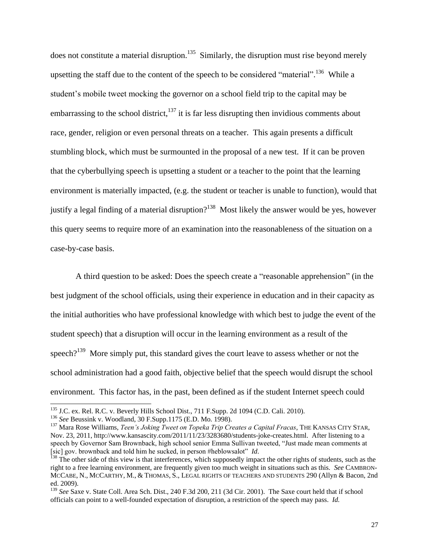<span id="page-27-0"></span>does not constitute a material disruption.<sup>135</sup> Similarly, the disruption must rise beyond merely upsetting the staff due to the content of the speech to be considered "material".<sup>136</sup> While a student's mobile tweet mocking the governor on a school field trip to the capital may be embarrassing to the school district, $137$  it is far less disrupting then invidious comments about race, gender, religion or even personal threats on a teacher. This again presents a difficult stumbling block, which must be surmounted in the proposal of a new test. If it can be proven that the cyberbullying speech is upsetting a student or a teacher to the point that the learning environment is materially impacted, (e.g. the student or teacher is unable to function), would that justify a legal finding of a material disruption?<sup>138</sup> Most likely the answer would be yes, however this query seems to require more of an examination into the reasonableness of the situation on a case-by-case basis.

A third question to be asked: Does the speech create a "reasonable apprehension" (in the best judgment of the school officials, using their experience in education and in their capacity as the initial authorities who have professional knowledge with which best to judge the event of the student speech) that a disruption will occur in the learning environment as a result of the speech? $139$  More simply put, this standard gives the court leave to assess whether or not the school administration had a good faith, objective belief that the speech would disrupt the school environment. This factor has, in the past, been defined as if the student Internet speech could

 $135$  J.C. ex. Rel. R.C. v. Beverly Hills School Dist., 711 F.Supp. 2d 1094 (C.D. Cali. 2010).

<sup>136</sup> *See* Beussink v. Woodland, 30 F.Supp.1175 (E.D. Mo. 1998).

<sup>137</sup> Mara Rose Williams, *Teen's Joking Tweet on Topeka Trip Creates a Capital Fracas*, THE KANSAS CITY STAR, Nov. 23, 2011, http://www.kansascity.com/2011/11/23/3283680/students-joke-creates.html. After listening to a speech by Governor Sam Brownback, high school senior Emma Sullivan tweeted, "Just made mean comments at [sic] gov. brownback and told him he sucked, in person #heblowsalot" *Id*.

 $138$  The other side of this view is that interferences, which supposedly impact the other rights of students, such as the right to a free learning environment, are frequently given too much weight in situations such as this. *See* CAMBRON-MCCABE, N., MCCARTHY, M., & THOMAS, S., LEGAL RIGHTS OF TEACHERS AND STUDENTS 290 (Allyn & Bacon, 2nd ed. 2009).

<sup>&</sup>lt;sup>139</sup> See Saxe v. State Coll. Area Sch. Dist., 240 F.3d 200, 211 (3d Cir. 2001). The Saxe court held that if school officials can point to a well-founded expectation of disruption, a restriction of the speech may pass. *Id.*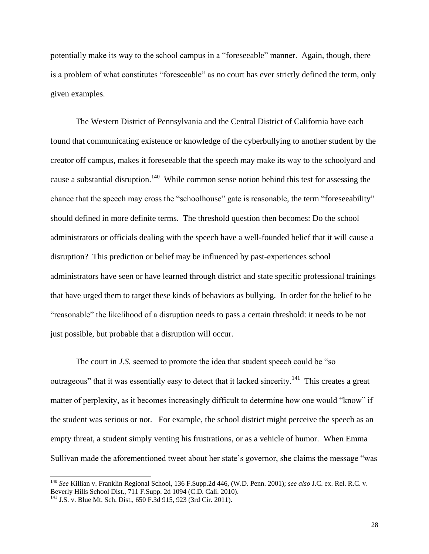potentially make its way to the school campus in a "foreseeable" manner. Again, though, there is a problem of what constitutes "foreseeable" as no court has ever strictly defined the term, only given examples.

The Western District of Pennsylvania and the Central District of California have each found that communicating existence or knowledge of the cyberbullying to another student by the creator off campus, makes it foreseeable that the speech may make its way to the schoolyard and cause a substantial disruption.<sup>140</sup> While common sense notion behind this test for assessing the chance that the speech may cross the "schoolhouse" gate is reasonable, the term "foreseeability" should defined in more definite terms. The threshold question then becomes: Do the school administrators or officials dealing with the speech have a well-founded belief that it will cause a disruption? This prediction or belief may be influenced by past-experiences school administrators have seen or have learned through district and state specific professional trainings that have urged them to target these kinds of behaviors as bullying. In order for the belief to be "reasonable" the likelihood of a disruption needs to pass a certain threshold: it needs to be not just possible, but probable that a disruption will occur.

The court in *J.S.* seemed to promote the idea that student speech could be "so outrageous" that it was essentially easy to detect that it lacked sincerity.<sup>141</sup> This creates a great matter of perplexity, as it becomes increasingly difficult to determine how one would "know" if the student was serious or not. For example, the school district might perceive the speech as an empty threat, a student simply venting his frustrations, or as a vehicle of humor. When Emma Sullivan made the aforementioned tweet about her state's governor, she claims the message "was

<sup>140</sup> *See* Killian v. Franklin Regional School, 136 F.Supp.2d 446, (W.D. Penn. 2001); *see also* J.C. ex. Rel. R.C. v. Beverly Hills School Dist., 711 F.Supp. 2d 1094 (C.D. Cali. 2010).

<sup>141</sup> J.S. v. Blue Mt. Sch. Dist., 650 F.3d 915, 923 (3rd Cir. 2011).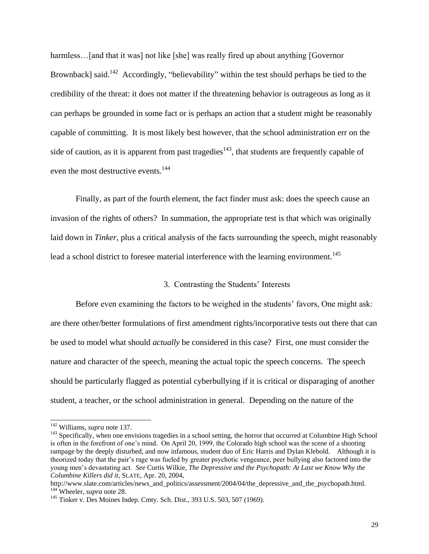harmless... [and that it was] not like [she] was really fired up about anything [Governor] Brownback] said.<sup>142</sup> Accordingly, "believability" within the test should perhaps be tied to the credibility of the threat: it does not matter if the threatening behavior is outrageous as long as it can perhaps be grounded in some fact or is perhaps an action that a student might be reasonably capable of committing. It is most likely best however, that the school administration err on the side of caution, as it is apparent from past tragedies<sup>143</sup>, that students are frequently capable of even the most destructive events.<sup>144</sup>

Finally, as part of the fourth element, the fact finder must ask: does the speech cause an invasion of the rights of others? In summation, the appropriate test is that which was originally laid down in *Tinker*, plus a critical analysis of the facts surrounding the speech, might reasonably lead a school district to foresee material interference with the learning environment.<sup>145</sup>

## <span id="page-29-0"></span>3. Contrasting the Students' Interests

Before even examining the factors to be weighed in the students' favors, One might ask: are there other/better formulations of first amendment rights/incorporative tests out there that can be used to model what should *actually* be considered in this case?First, one must consider the nature and character of the speech, meaning the actual topic the speech concerns. The speech should be particularly flagged as potential cyberbullying if it is critical or disparaging of another student, a teacher, or the school administration in general. Depending on the nature of the

http://www.slate.com/articles/news\_and\_politics/assessment/2004/04/the\_depressive\_and\_the\_psychopath.html. <sup>144</sup> Wheeler, *supra* note [28.](#page-5-0)

<sup>142</sup> Williams, *supra* note [137.](#page-27-0)

<sup>&</sup>lt;sup>143</sup> Specifically, when one envisions tragedies in a school setting, the horror that occurred at Columbine High School is often in the forefront of one's mind. On April 20, 1999, the Colorado high school was the scene of a shooting rampage by the deeply disturbed, and now infamous, student duo of Eric Harris and Dylan Klebold. Although it is theorized today that the pair's rage was fueled by greater psychotic vengeance, peer bullying also factored into the young men's devastating act. *See* Curtis Wilkie, *The Depressive and the Psychopath: At Last we Know Why the Columbine Killers did it*, SLATE, Apr. 20, 2004,

<sup>145</sup> Tinker v. Des Moines Indep. Cmty. Sch. Dist., 393 U.S. 503, 507 (1969).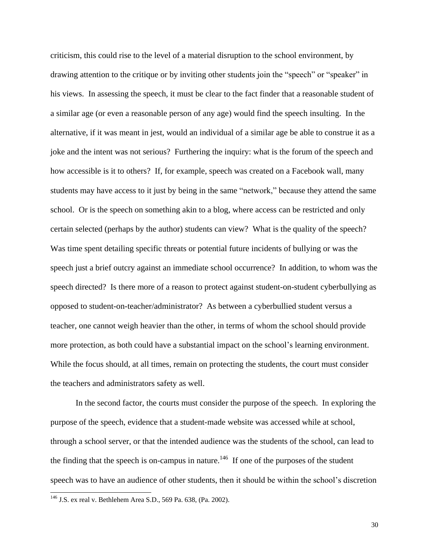criticism, this could rise to the level of a material disruption to the school environment, by drawing attention to the critique or by inviting other students join the "speech" or "speaker" in his views. In assessing the speech, it must be clear to the fact finder that a reasonable student of a similar age (or even a reasonable person of any age) would find the speech insulting. In the alternative, if it was meant in jest, would an individual of a similar age be able to construe it as a joke and the intent was not serious? Furthering the inquiry: what is the forum of the speech and how accessible is it to others? If, for example, speech was created on a Facebook wall, many students may have access to it just by being in the same "network," because they attend the same school. Or is the speech on something akin to a blog, where access can be restricted and only certain selected (perhaps by the author) students can view? What is the quality of the speech? Was time spent detailing specific threats or potential future incidents of bullying or was the speech just a brief outcry against an immediate school occurrence? In addition, to whom was the speech directed? Is there more of a reason to protect against student-on-student cyberbullying as opposed to student-on-teacher/administrator? As between a cyberbullied student versus a teacher, one cannot weigh heavier than the other, in terms of whom the school should provide more protection, as both could have a substantial impact on the school's learning environment. While the focus should, at all times, remain on protecting the students, the court must consider the teachers and administrators safety as well.

In the second factor, the courts must consider the purpose of the speech.In exploring the purpose of the speech, evidence that a student-made website was accessed while at school, through a school server, or that the intended audience was the students of the school, can lead to the finding that the speech is on-campus in nature.<sup>146</sup> If one of the purposes of the student speech was to have an audience of other students, then it should be within the school's discretion

<sup>146</sup> J.S. ex real v. Bethlehem Area S.D., 569 Pa. 638, (Pa. 2002).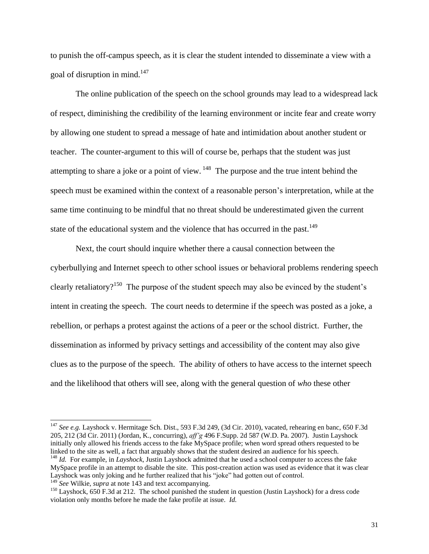to punish the off-campus speech, as it is clear the student intended to disseminate a view with a goal of disruption in mind.<sup>147</sup>

The online publication of the speech on the school grounds may lead to a widespread lack of respect, diminishing the credibility of the learning environment or incite fear and create worry by allowing one student to spread a message of hate and intimidation about another student or teacher. The counter-argument to this will of course be, perhaps that the student was just attempting to share a joke or a point of view.  $148$  The purpose and the true intent behind the speech must be examined within the context of a reasonable person's interpretation, while at the same time continuing to be mindful that no threat should be underestimated given the current state of the educational system and the violence that has occurred in the past.<sup>149</sup>

Next, the court should inquire whether there a causal connection between the cyberbullying and Internet speech to other school issues or behavioral problems rendering speech clearly retaliatory?<sup>150</sup> The purpose of the student speech may also be evinced by the student's intent in creating the speech. The court needs to determine if the speech was posted as a joke, a rebellion, or perhaps a protest against the actions of a peer or the school district. Further, the dissemination as informed by privacy settings and accessibility of the content may also give clues as to the purpose of the speech. The ability of others to have access to the internet speech and the likelihood that others will see, along with the general question of *who* these other

<sup>147</sup> *See e.g.* Layshock v. Hermitage Sch. Dist., 593 F.3d 249, (3d Cir. 2010), vacated, rehearing en banc, 650 F.3d 205, 212 (3d Cir. 2011) (Jordan, K., concurring), *aff'g* 496 F.Supp. 2d 587 (W.D. Pa. 2007). Justin Layshock initially only allowed his friends access to the fake MySpace profile; when word spread others requested to be linked to the site as well, a fact that arguably shows that the student desired an audience for his speech.

<sup>148</sup> *Id.* For example, in *Layshock*, Justin Layshock admitted that he used a school computer to access the fake MySpace profile in an attempt to disable the site. This post-creation action was used as evidence that it was clear Layshock was only joking and he further realized that his "joke" had gotten out of control. <sup>149</sup> *See* Wilkie, *supra* at not[e 143](#page-29-0) and text accompanying.

<sup>&</sup>lt;sup>150</sup> Layshock, 650 F.3d at 212. The school punished the student in question (Justin Layshock) for a dress code violation only months before he made the fake profile at issue. *Id.*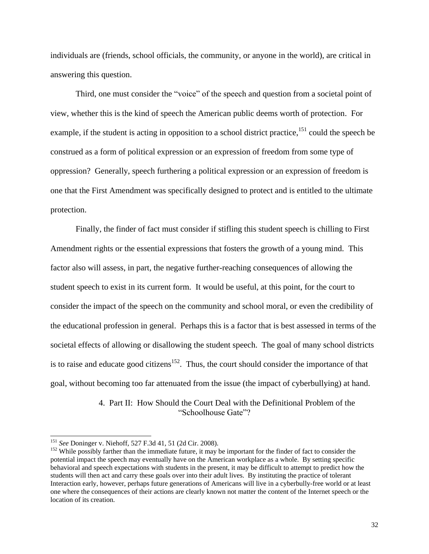individuals are (friends, school officials, the community, or anyone in the world), are critical in answering this question.

Third, one must consider the "voice" of the speech and question from a societal point of view, whether this is the kind of speech the American public deems worth of protection. For example, if the student is acting in opposition to a school district practice,<sup>151</sup> could the speech be construed as a form of political expression or an expression of freedom from some type of oppression? Generally, speech furthering a political expression or an expression of freedom is one that the First Amendment was specifically designed to protect and is entitled to the ultimate protection.

Finally, the finder of fact must consider if stifling this student speech is chilling to First Amendment rights or the essential expressions that fosters the growth of a young mind. This factor also will assess, in part, the negative further-reaching consequences of allowing the student speech to exist in its current form. It would be useful, at this point, for the court to consider the impact of the speech on the community and school moral, or even the credibility of the educational profession in general. Perhaps this is a factor that is best assessed in terms of the societal effects of allowing or disallowing the student speech. The goal of many school districts is to raise and educate good citizens<sup>152</sup>. Thus, the court should consider the importance of that goal, without becoming too far attenuated from the issue (the impact of cyberbullying) at hand.

> 4. Part II: How Should the Court Deal with the Definitional Problem of the "Schoolhouse Gate"?

<sup>151</sup> *See* Doninger v. Niehoff, 527 F.3d 41, 51 (2d Cir. 2008).

<sup>&</sup>lt;sup>152</sup> While possibly farther than the immediate future, it may be important for the finder of fact to consider the potential impact the speech may eventually have on the American workplace as a whole. By setting specific behavioral and speech expectations with students in the present, it may be difficult to attempt to predict how the students will then act and carry these goals over into their adult lives. By instituting the practice of tolerant Interaction early, however, perhaps future generations of Americans will live in a cyberbully-free world or at least one where the consequences of their actions are clearly known not matter the content of the Internet speech or the location of its creation.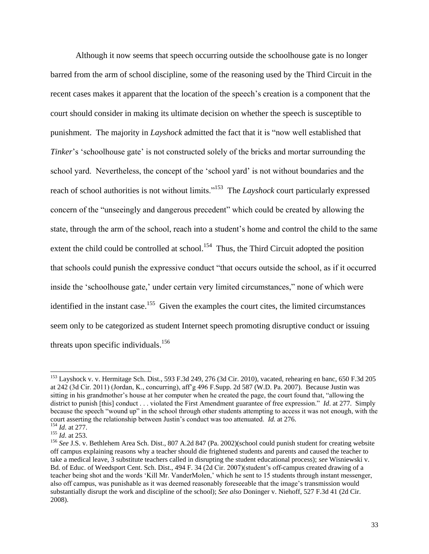Although it now seems that speech occurring outside the schoolhouse gate is no longer barred from the arm of school discipline, some of the reasoning used by the Third Circuit in the recent cases makes it apparent that the location of the speech's creation is a component that the court should consider in making its ultimate decision on whether the speech is susceptible to punishment.The majority in *Layshock* admitted the fact that it is "now well established that *Tinker*'s 'schoolhouse gate' is not constructed solely of the bricks and mortar surrounding the school yard. Nevertheless, the concept of the 'school yard' is not without boundaries and the reach of school authorities is not without limits."<sup>153</sup> The *Layshock* court particularly expressed concern of the "unseeingly and dangerous precedent" which could be created by allowing the state, through the arm of the school, reach into a student's home and control the child to the same extent the child could be controlled at school.<sup>154</sup> Thus, the Third Circuit adopted the position that schools could punish the expressive conduct "that occurs outside the school, as if it occurred inside the 'schoolhouse gate,' under certain very limited circumstances," none of which were identified in the instant case.<sup>155</sup> Given the examples the court cites, the limited circumstances seem only to be categorized as student Internet speech promoting disruptive conduct or issuing threats upon specific individuals.<sup>156</sup>

<sup>&</sup>lt;sup>153</sup> Layshock v. v. Hermitage Sch. Dist., 593 F.3d 249, 276 (3d Cir. 2010), vacated, rehearing en banc, 650 F.3d 205 at 242 (3d Cir. 2011) (Jordan, K., concurring), aff'g 496 F.Supp. 2d 587 (W.D. Pa. 2007). Because Justin was sitting in his grandmother's house at her computer when he created the page, the court found that, "allowing the district to punish [this] conduct . . . violated the First Amendment guarantee of free expression." *Id*. at 277. Simply because the speech "wound up" in the school through other students attempting to access it was not enough, with the court asserting the relationship between Justin's conduct was too attenuated. *Id.* at 276. <sup>154</sup> *Id*. at 277.

<sup>155</sup> *Id*. at 253.

<sup>&</sup>lt;sup>156</sup> See J.S. v. Bethlehem Area Sch. Dist., 807 A.2d 847 (Pa. 2002)(school could punish student for creating website off campus explaining reasons why a teacher should die frightened students and parents and caused the teacher to take a medical leave, 3 substitute teachers called in disrupting the student educational process); *see* Wisniewski v. Bd. of Educ. of Weedsport Cent. Sch. Dist., 494 F. 34 (2d Cir. 2007)(student's off-campus created drawing of a teacher being shot and the words 'Kill Mr. VanderMolen,' which he sent to 15 students through instant messenger, also off campus, was punishable as it was deemed reasonably foreseeable that the image's transmission would substantially disrupt the work and discipline of the school); *See also* Doninger v. Niehoff, 527 F.3d 41 (2d Cir. 2008).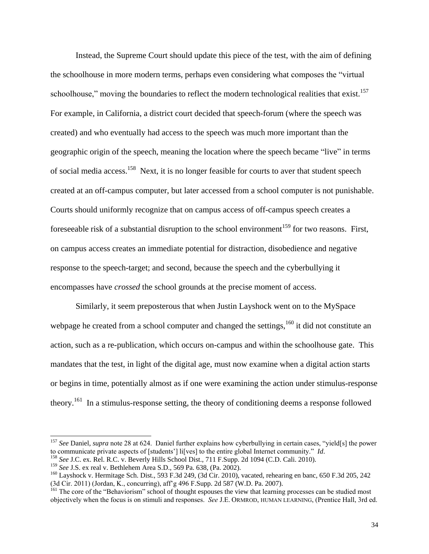Instead, the Supreme Court should update this piece of the test, with the aim of defining the schoolhouse in more modern terms, perhaps even considering what composes the "virtual schoolhouse," moving the boundaries to reflect the modern technological realities that exist.<sup>157</sup> For example, in California, a district court decided that speech-forum (where the speech was created) and who eventually had access to the speech was much more important than the geographic origin of the speech, meaning the location where the speech became "live" in terms of social media access.<sup>158</sup> Next, it is no longer feasible for courts to aver that student speech created at an off-campus computer, but later accessed from a school computer is not punishable. Courts should uniformly recognize that on campus access of off-campus speech creates a fore seeable risk of a substantial disruption to the school environment<sup>159</sup> for two reasons. First, on campus access creates an immediate potential for distraction, disobedience and negative response to the speech-target; and second, because the speech and the cyberbullying it encompasses have *crossed* the school grounds at the precise moment of access.

Similarly, it seem preposterous that when Justin Layshock went on to the MySpace webpage he created from a school computer and changed the settings,  $160$  it did not constitute an action, such as a re-publication, which occurs on-campus and within the schoolhouse gate. This mandates that the test, in light of the digital age, must now examine when a digital action starts or begins in time, potentially almost as if one were examining the action under stimulus-response theory.<sup>161</sup> In a stimulus-response setting, the theory of conditioning deems a response followed

<sup>157</sup> *See* Daniel, *supra* note 28 at 624. Daniel further explains how cyberbullying in certain cases, "yield[s] the power to communicate private aspects of [students'] li[ves] to the entire global Internet community." *Id*.

<sup>158</sup> *See* J.C. ex. Rel. R.C. v. Beverly Hills School Dist., 711 F.Supp. 2d 1094 (C.D. Cali. 2010).

<sup>159</sup> *See* J.S. ex real v. Bethlehem Area S.D., 569 Pa. 638, (Pa. 2002).

<sup>&</sup>lt;sup>160</sup> Layshock v. Hermitage Sch. Dist., 593 F.3d 249, (3d Cir. 2010), vacated, rehearing en banc, 650 F.3d 205, 242 (3d Cir. 2011) (Jordan, K., concurring), aff'g 496 F.Supp. 2d 587 (W.D. Pa. 2007).

<sup>&</sup>lt;sup>161</sup> The core of the "Behaviorism" school of thought espouses the view that learning processes can be studied most objectively when the focus is on stimuli and responses. *See* J.E. ORMROD, HUMAN LEARNING, (Prentice Hall, 3rd ed.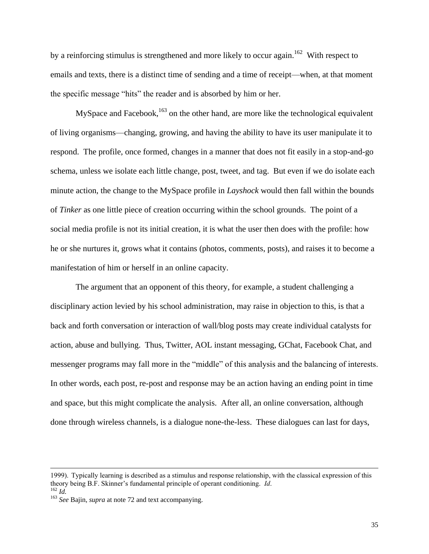by a reinforcing stimulus is strengthened and more likely to occur again.<sup>162</sup> With respect to emails and texts, there is a distinct time of sending and a time of receipt—when, at that moment the specific message "hits" the reader and is absorbed by him or her.

MySpace and Facebook, $163$  on the other hand, are more like the technological equivalent of living organisms—changing, growing, and having the ability to have its user manipulate it to respond. The profile, once formed, changes in a manner that does not fit easily in a stop-and-go schema, unless we isolate each little change, post, tweet, and tag. But even if we do isolate each minute action, the change to the MySpace profile in *Layshock* would then fall within the bounds of *Tinker* as one little piece of creation occurring within the school grounds. The point of a social media profile is not its initial creation, it is what the user then does with the profile: how he or she nurtures it, grows what it contains (photos, comments, posts), and raises it to become a manifestation of him or herself in an online capacity.

The argument that an opponent of this theory, for example, a student challenging a disciplinary action levied by his school administration, may raise in objection to this, is that a back and forth conversation or interaction of wall/blog posts may create individual catalysts for action, abuse and bullying. Thus, Twitter, AOL instant messaging, GChat, Facebook Chat, and messenger programs may fall more in the "middle" of this analysis and the balancing of interests. In other words, each post, re-post and response may be an action having an ending point in time and space, but this might complicate the analysis. After all, an online conversation, although done through wireless channels, is a dialogue none-the-less. These dialogues can last for days,

<sup>1999).</sup> Typically learning is described as a stimulus and response relationship, with the classical expression of this theory being B.F. Skinner's fundamental principle of operant conditioning. *Id*. <sup>162</sup> *Id.*

<sup>&</sup>lt;sup>163</sup> *See* Bajin, *supra* at note [72](#page-11-0) and text accompanying.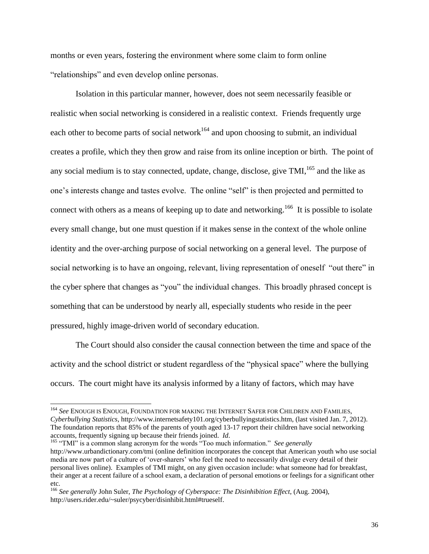months or even years, fostering the environment where some claim to form online "relationships" and even develop online personas.

<span id="page-36-0"></span>Isolation in this particular manner, however, does not seem necessarily feasible or realistic when social networking is considered in a realistic context. Friends frequently urge each other to become parts of social network<sup>164</sup> and upon choosing to submit, an individual creates a profile, which they then grow and raise from its online inception or birth. The point of any social medium is to stay connected, update, change, disclose, give  $TMI$ ,  $^{165}$  and the like as one's interests change and tastes evolve. The online "self" is then projected and permitted to connect with others as a means of keeping up to date and networking.<sup>166</sup> It is possible to isolate every small change, but one must question if it makes sense in the context of the whole online identity and the over-arching purpose of social networking on a general level. The purpose of social networking is to have an ongoing, relevant, living representation of oneself "out there" in the cyber sphere that changes as "you" the individual changes. This broadly phrased concept is something that can be understood by nearly all, especially students who reside in the peer pressured, highly image-driven world of secondary education.

The Court should also consider the causal connection between the time and space of the activity and the school district or student regardless of the "physical space" where the bullying occurs. The court might have its analysis informed by a litany of factors, which may have

<sup>164</sup> *See* ENOUGH IS ENOUGH, FOUNDATION FOR MAKING THE INTERNET SAFER FOR CHILDREN AND FAMILIES, *Cyberbullying Statistics*, http://www.internetsafety101.org/cyberbullyingstatistics.htm, (last visited Jan. 7, 2012). The foundation reports that 85% of the parents of youth aged 13-17 report their children have social networking accounts, frequently signing up because their friends joined. *Id*.

<sup>&</sup>lt;sup>165</sup> "TMI" is a common slang acronym for the words "Too much information." *See generally* http://www.urbandictionary.com/tmi (online definition incorporates the concept that American youth who use social media are now part of a culture of 'over-sharers' who feel the need to necessarily divulge every detail of their personal lives online). Examples of TMI might, on any given occasion include: what someone had for breakfast, their anger at a recent failure of a school exam, a declaration of personal emotions or feelings for a significant other etc.

<sup>166</sup> *See generally* John Suler, *The Psychology of Cyberspace: The Disinhibition Effect*, (Aug. 2004), http://users.rider.edu/~suler/psycyber/disinhibit.html#trueself.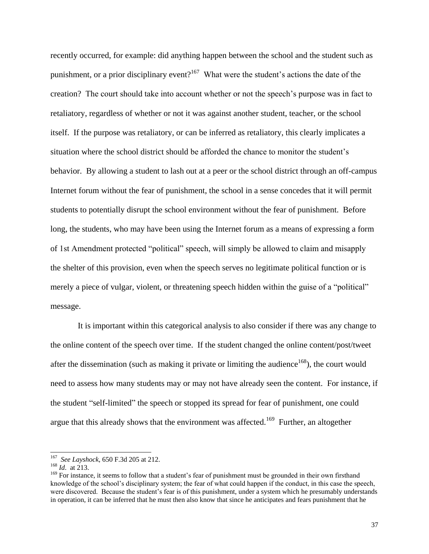recently occurred, for example: did anything happen between the school and the student such as punishment, or a prior disciplinary event?<sup>167</sup> What were the student's actions the date of the creation? The court should take into account whether or not the speech's purpose was in fact to retaliatory, regardless of whether or not it was against another student, teacher, or the school itself. If the purpose was retaliatory, or can be inferred as retaliatory, this clearly implicates a situation where the school district should be afforded the chance to monitor the student's behavior. By allowing a student to lash out at a peer or the school district through an off-campus Internet forum without the fear of punishment, the school in a sense concedes that it will permit students to potentially disrupt the school environment without the fear of punishment. Before long, the students, who may have been using the Internet forum as a means of expressing a form of 1st Amendment protected "political" speech, will simply be allowed to claim and misapply the shelter of this provision, even when the speech serves no legitimate political function or is merely a piece of vulgar, violent, or threatening speech hidden within the guise of a "political" message.

It is important within this categorical analysis to also consider if there was any change to the online content of the speech over time. If the student changed the online content/post/tweet after the dissemination (such as making it private or limiting the audience<sup>168</sup>), the court would need to assess how many students may or may not have already seen the content. For instance, if the student "self-limited" the speech or stopped its spread for fear of punishment, one could argue that this already shows that the environment was affected.<sup>169</sup> Further, an altogether

 167 *See Layshock*, 650 F.3d 205 at 212.

<sup>168</sup> *Id*. at 213.

<sup>&</sup>lt;sup>169</sup> For instance, it seems to follow that a student's fear of punishment must be grounded in their own firsthand knowledge of the school's disciplinary system; the fear of what could happen if the conduct, in this case the speech, were discovered. Because the student's fear is of this punishment, under a system which he presumably understands in operation, it can be inferred that he must then also know that since he anticipates and fears punishment that he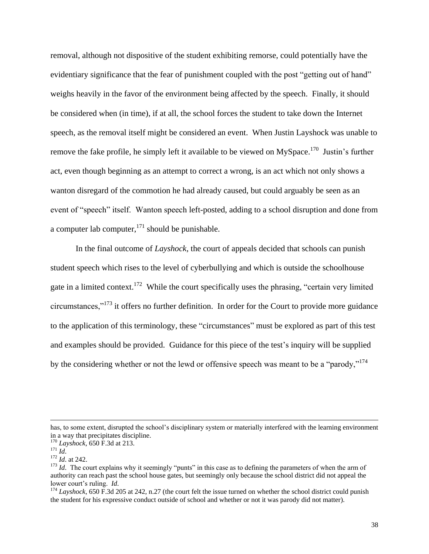removal, although not dispositive of the student exhibiting remorse, could potentially have the evidentiary significance that the fear of punishment coupled with the post "getting out of hand" weighs heavily in the favor of the environment being affected by the speech. Finally, it should be considered when (in time), if at all, the school forces the student to take down the Internet speech, as the removal itself might be considered an event. When Justin Layshock was unable to remove the fake profile, he simply left it available to be viewed on MySpace.<sup>170</sup> Justin's further act, even though beginning as an attempt to correct a wrong, is an act which not only shows a wanton disregard of the commotion he had already caused, but could arguably be seen as an event of "speech" itself. Wanton speech left-posted, adding to a school disruption and done from a computer lab computer, $171$  should be punishable.

In the final outcome of *Layshock*, the court of appeals decided that schools can punish student speech which rises to the level of cyberbullying and which is outside the schoolhouse gate in a limited context.<sup>172</sup> While the court specifically uses the phrasing, "certain very limited circumstances," $173$  it offers no further definition. In order for the Court to provide more guidance to the application of this terminology, these "circumstances" must be explored as part of this test and examples should be provided. Guidance for this piece of the test's inquiry will be supplied by the considering whether or not the lewd or offensive speech was meant to be a "parody,"<sup>174</sup>

has, to some extent, disrupted the school's disciplinary system or materially interfered with the learning environment in a way that precipitates discipline.

<sup>170</sup> *Layshock,* 650 F.3d at 213.

<sup>171</sup> *Id*.

<sup>172</sup> *Id*. at 242.

<sup>&</sup>lt;sup>173</sup> *Id*. The court explains why it seemingly "punts" in this case as to defining the parameters of when the arm of authority can reach past the school house gates, but seemingly only because the school district did not appeal the lower court's ruling. *Id*.

 $^{174}$  *Layshock*, 650 F.3d 205 at 242, n.27 (the court felt the issue turned on whether the school district could punish the student for his expressive conduct outside of school and whether or not it was parody did not matter).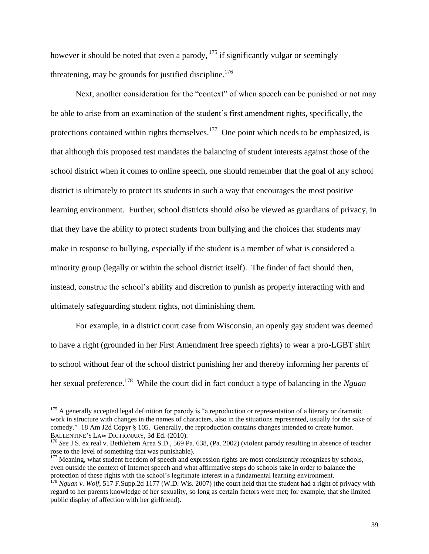however it should be noted that even a parody, <sup>175</sup> if significantly vulgar or seemingly threatening, may be grounds for justified discipline.<sup>176</sup>

Next, another consideration for the "context" of when speech can be punished or not may be able to arise from an examination of the student's first amendment rights, specifically, the protections contained within rights themselves. $177$  One point which needs to be emphasized, is that although this proposed test mandates the balancing of student interests against those of the school district when it comes to online speech, one should remember that the goal of any school district is ultimately to protect its students in such a way that encourages the most positive learning environment. Further, school districts should *also* be viewed as guardians of privacy, in that they have the ability to protect students from bullying and the choices that students may make in response to bullying, especially if the student is a member of what is considered a minority group (legally or within the school district itself). The finder of fact should then, instead, construe the school's ability and discretion to punish as properly interacting with and ultimately safeguarding student rights, not diminishing them.

For example, in a district court case from Wisconsin, an openly gay student was deemed to have a right (grounded in her First Amendment free speech rights) to wear a pro-LGBT shirt to school without fear of the school district punishing her and thereby informing her parents of her sexual preference.<sup>178</sup> While the court did in fact conduct a type of balancing in the *Nguan* 

 $175$  A generally accepted legal definition for parody is "a reproduction or representation of a literary or dramatic work in structure with changes in the names of characters, also in the situations represented, usually for the sake of comedy." 18 Am J2d Copyr § 105. Generally, the reproduction contains changes intended to create humor. BALLENTINE'S LAW DICTIONARY, 3d Ed. (2010).

<sup>176</sup> *See* J.S. ex real v. Bethlehem Area S.D., 569 Pa. 638, (Pa. 2002) (violent parody resulting in absence of teacher rose to the level of something that was punishable).

<sup>&</sup>lt;sup>177</sup> Meaning, what student freedom of speech and expression rights are most consistently recognizes by schools, even outside the context of Internet speech and what affirmative steps do schools take in order to balance the protection of these rights with the school's legitimate interest in a fundamental learning environment.

<sup>&</sup>lt;sup>178</sup> *Nguan v. Wolf*, 517 F.Supp.2d 1177 (W.D. Wis. 2007) (the court held that the student had a right of privacy with regard to her parents knowledge of her sexuality, so long as certain factors were met; for example, that she limited public display of affection with her girlfriend).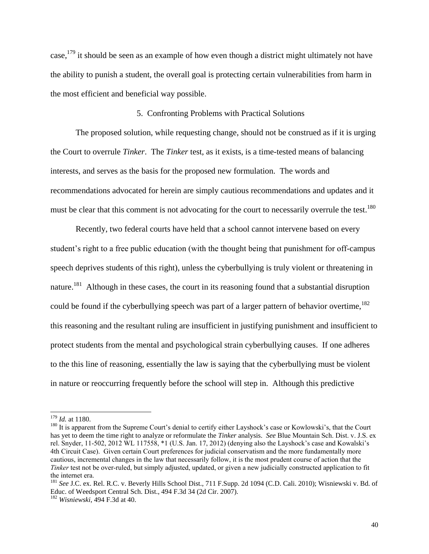case,  $^{179}$  it should be seen as an example of how even though a district might ultimately not have the ability to punish a student, the overall goal is protecting certain vulnerabilities from harm in the most efficient and beneficial way possible.

#### 5. Confronting Problems with Practical Solutions

The proposed solution, while requesting change, should not be construed as if it is urging the Court to overrule *Tinker*. The *Tinker* test, as it exists, is a time-tested means of balancing interests, and serves as the basis for the proposed new formulation. The words and recommendations advocated for herein are simply cautious recommendations and updates and it must be clear that this comment is not advocating for the court to necessarily overrule the test.<sup>180</sup>

Recently, two federal courts have held that a school cannot intervene based on every student's right to a free public education (with the thought being that punishment for off-campus speech deprives students of this right), unless the cyberbullying is truly violent or threatening in nature.<sup>181</sup> Although in these cases, the court in its reasoning found that a substantial disruption could be found if the cyberbullying speech was part of a larger pattern of behavior overtime,  $182$ this reasoning and the resultant ruling are insufficient in justifying punishment and insufficient to protect students from the mental and psychological strain cyberbullying causes. If one adheres to the this line of reasoning, essentially the law is saying that the cyberbullying must be violent in nature or reoccurring frequently before the school will step in. Although this predictive

<sup>179</sup> *Id.* at 1180.

<sup>&</sup>lt;sup>180</sup> It is apparent from the Supreme Court's denial to certify either Layshock's case or Kowlowski's, that the Court has yet to deem the time right to analyze or reformulate the *Tinker* analysis. *See* Blue Mountain Sch. Dist. v. J.S. ex rel. Snyder, 11-502, 2012 WL 117558, \*1 (U.S. Jan. 17, 2012) (denying also the Layshock's case and Kowalski's 4th Circuit Case). Given certain Court preferences for judicial conservatism and the more fundamentally more cautious, incremental changes in the law that necessarily follow, it is the most prudent course of action that the *Tinker* test not be over-ruled, but simply adjusted, updated, or given a new judicially constructed application to fit the internet era.

<sup>181</sup> *See* J.C. ex. Rel. R.C. v. Beverly Hills School Dist., 711 F.Supp. 2d 1094 (C.D. Cali. 2010); Wisniewski v. Bd. of Educ. of Weedsport Central Sch. Dist., 494 F.3d 34 (2d Cir. 2007).

<sup>182</sup> *Wisniewski*, 494 F.3d at 40.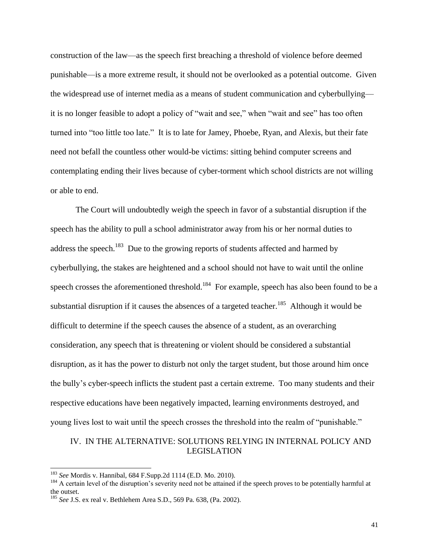construction of the law—as the speech first breaching a threshold of violence before deemed punishable—is a more extreme result, it should not be overlooked as a potential outcome. Given the widespread use of internet media as a means of student communication and cyberbullying it is no longer feasible to adopt a policy of "wait and see," when "wait and see" has too often turned into "too little too late." It is to late for Jamey, Phoebe, Ryan, and Alexis, but their fate need not befall the countless other would-be victims: sitting behind computer screens and contemplating ending their lives because of cyber-torment which school districts are not willing or able to end.

The Court will undoubtedly weigh the speech in favor of a substantial disruption if the speech has the ability to pull a school administrator away from his or her normal duties to address the speech.<sup>183</sup> Due to the growing reports of students affected and harmed by cyberbullying, the stakes are heightened and a school should not have to wait until the online speech crosses the aforementioned threshold.<sup>184</sup> For example, speech has also been found to be a substantial disruption if it causes the absences of a targeted teacher.<sup>185</sup> Although it would be difficult to determine if the speech causes the absence of a student, as an overarching consideration, any speech that is threatening or violent should be considered a substantial disruption, as it has the power to disturb not only the target student, but those around him once the bully's cyber-speech inflicts the student past a certain extreme. Too many students and their respective educations have been negatively impacted, learning environments destroyed, and young lives lost to wait until the speech crosses the threshold into the realm of "punishable."

## IV. IN THE ALTERNATIVE: SOLUTIONS RELYING IN INTERNAL POLICY AND LEGISLATION

<sup>183</sup> *See* Mordis v. Hannibal, 684 F.Supp.2d 1114 (E.D. Mo. 2010).

<sup>&</sup>lt;sup>184</sup> A certain level of the disruption's severity need not be attained if the speech proves to be potentially harmful at the outset.

<sup>185</sup> *See* J.S. ex real v. Bethlehem Area S.D., 569 Pa. 638, (Pa. 2002).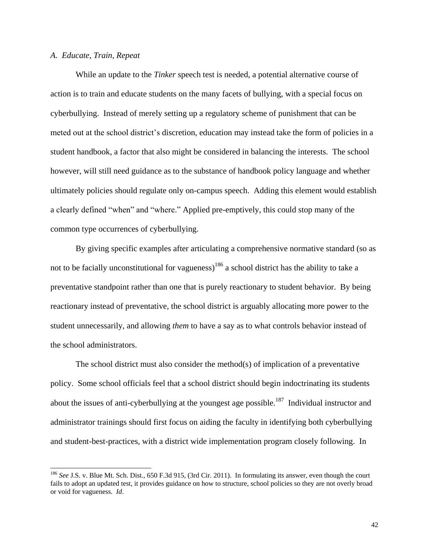## *A. Educate, Train, Repeat*

While an update to the *Tinker* speech test is needed, a potential alternative course of action is to train and educate students on the many facets of bullying, with a special focus on cyberbullying. Instead of merely setting up a regulatory scheme of punishment that can be meted out at the school district's discretion, education may instead take the form of policies in a student handbook, a factor that also might be considered in balancing the interests. The school however, will still need guidance as to the substance of handbook policy language and whether ultimately policies should regulate only on-campus speech. Adding this element would establish a clearly defined "when" and "where." Applied pre-emptively, this could stop many of the common type occurrences of cyberbullying.

By giving specific examples after articulating a comprehensive normative standard (so as not to be facially unconstitutional for vagueness)<sup>186</sup> a school district has the ability to take a preventative standpoint rather than one that is purely reactionary to student behavior. By being reactionary instead of preventative, the school district is arguably allocating more power to the student unnecessarily, and allowing *them* to have a say as to what controls behavior instead of the school administrators.

The school district must also consider the method(s) of implication of a preventative policy. Some school officials feel that a school district should begin indoctrinating its students about the issues of anti-cyberbullying at the youngest age possible.<sup>187</sup> Individual instructor and administrator trainings should first focus on aiding the faculty in identifying both cyberbullying and student-best-practices, with a district wide implementation program closely following. In

<sup>186</sup> *See* J.S. v. Blue Mt. Sch. Dist., 650 F.3d 915, (3rd Cir. 2011). In formulating its answer, even though the court fails to adopt an updated test, it provides guidance on how to structure, school policies so they are not overly broad or void for vagueness. *Id*.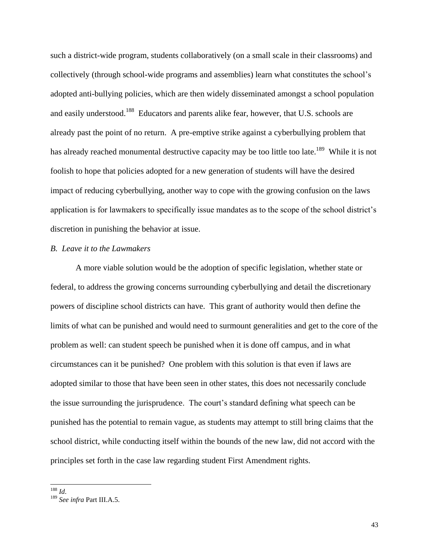such a district-wide program, students collaboratively (on a small scale in their classrooms) and collectively (through school-wide programs and assemblies) learn what constitutes the school's adopted anti-bullying policies, which are then widely disseminated amongst a school population and easily understood.<sup>188</sup> Educators and parents alike fear, however, that U.S. schools are already past the point of no return. A pre-emptive strike against a cyberbullying problem that has already reached monumental destructive capacity may be too little too late.<sup>189</sup> While it is not foolish to hope that policies adopted for a new generation of students will have the desired impact of reducing cyberbullying, another way to cope with the growing confusion on the laws application is for lawmakers to specifically issue mandates as to the scope of the school district's discretion in punishing the behavior at issue.

#### *B. Leave it to the Lawmakers*

A more viable solution would be the adoption of specific legislation, whether state or federal, to address the growing concerns surrounding cyberbullying and detail the discretionary powers of discipline school districts can have. This grant of authority would then define the limits of what can be punished and would need to surmount generalities and get to the core of the problem as well: can student speech be punished when it is done off campus, and in what circumstances can it be punished? One problem with this solution is that even if laws are adopted similar to those that have been seen in other states, this does not necessarily conclude the issue surrounding the jurisprudence. The court's standard defining what speech can be punished has the potential to remain vague, as students may attempt to still bring claims that the school district, while conducting itself within the bounds of the new law, did not accord with the principles set forth in the case law regarding student First Amendment rights.

<sup>188</sup> *Id*.

<sup>189</sup> *See infra* Part III.A.5.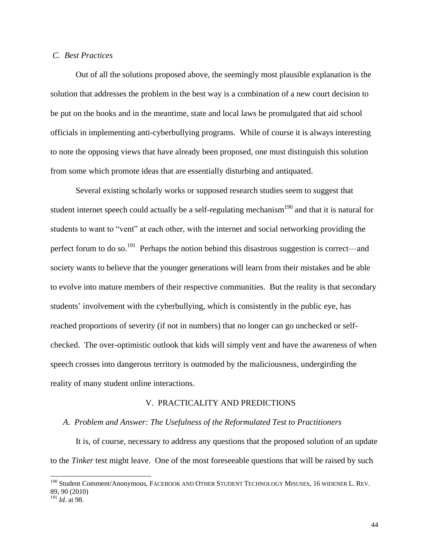## *C. Best Practices*

Out of all the solutions proposed above, the seemingly most plausible explanation is the solution that addresses the problem in the best way is a combination of a new court decision to be put on the books and in the meantime, state and local laws be promulgated that aid school officials in implementing anti-cyberbullying programs. While of course it is always interesting to note the opposing views that have already been proposed, one must distinguish this solution from some which promote ideas that are essentially disturbing and antiquated.

Several existing scholarly works or supposed research studies seem to suggest that student internet speech could actually be a self-regulating mechanism<sup>190</sup> and that it is natural for students to want to "vent" at each other, with the internet and social networking providing the perfect forum to do so.<sup>191</sup> Perhaps the notion behind this disastrous suggestion is correct—and society wants to believe that the younger generations will learn from their mistakes and be able to evolve into mature members of their respective communities. But the reality is that secondary students' involvement with the cyberbullying, which is consistently in the public eye, has reached proportions of severity (if not in numbers) that no longer can go unchecked or selfchecked. The over-optimistic outlook that kids will simply vent and have the awareness of when speech crosses into dangerous territory is outmoded by the maliciousness, undergirding the reality of many student online interactions.

#### V. PRACTICALITY AND PREDICTIONS

#### *A. Problem and Answer: The Usefulness of the Reformulated Test to Practitioners*

It is, of course, necessary to address any questions that the proposed solution of an update to the *Tinker* test might leave. One of the most foreseeable questions that will be raised by such

<sup>&</sup>lt;sup>190</sup> Student Comment/Anonymous, FACEBOOK AND OTHER STUDENT TECHNOLOGY MISUSES, 16 WIDENER L. REV. 89, 90 (2010)

<sup>191</sup> *Id*. at 98.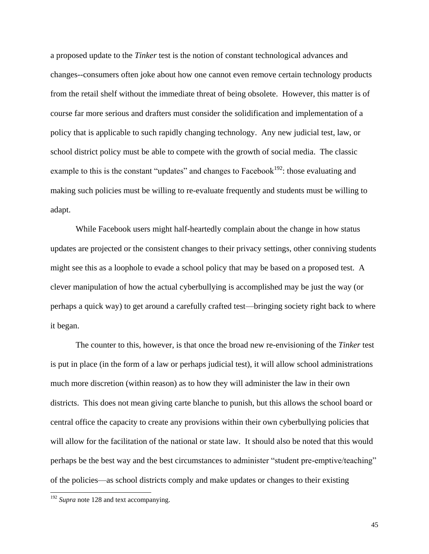a proposed update to the *Tinker* test is the notion of constant technological advances and changes--consumers often joke about how one cannot even remove certain technology products from the retail shelf without the immediate threat of being obsolete. However, this matter is of course far more serious and drafters must consider the solidification and implementation of a policy that is applicable to such rapidly changing technology. Any new judicial test, law, or school district policy must be able to compete with the growth of social media. The classic example to this is the constant "updates" and changes to Facebook<sup>192</sup>: those evaluating and making such policies must be willing to re-evaluate frequently and students must be willing to adapt.

While Facebook users might half-heartedly complain about the change in how status updates are projected or the consistent changes to their privacy settings, other conniving students might see this as a loophole to evade a school policy that may be based on a proposed test. A clever manipulation of how the actual cyberbullying is accomplished may be just the way (or perhaps a quick way) to get around a carefully crafted test—bringing society right back to where it began.

The counter to this, however, is that once the broad new re-envisioning of the *Tinker* test is put in place (in the form of a law or perhaps judicial test), it will allow school administrations much more discretion (within reason) as to how they will administer the law in their own districts. This does not mean giving carte blanche to punish, but this allows the school board or central office the capacity to create any provisions within their own cyberbullying policies that will allow for the facilitation of the national or state law. It should also be noted that this would perhaps be the best way and the best circumstances to administer "student pre-emptive/teaching" of the policies—as school districts comply and make updates or changes to their existing

<sup>&</sup>lt;sup>192</sup> Supra note [128](#page-24-0) and text accompanying.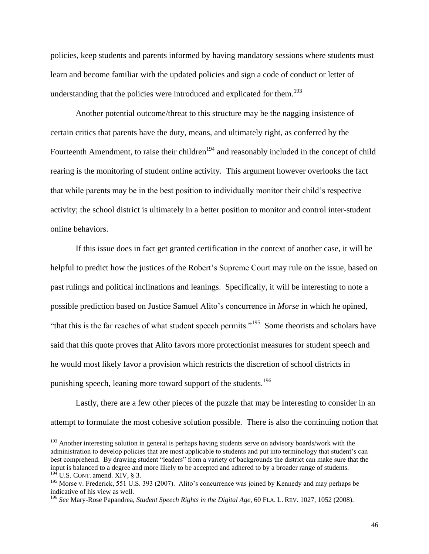policies, keep students and parents informed by having mandatory sessions where students must learn and become familiar with the updated policies and sign a code of conduct or letter of understanding that the policies were introduced and explicated for them.<sup>193</sup>

Another potential outcome/threat to this structure may be the nagging insistence of certain critics that parents have the duty, means, and ultimately right, as conferred by the Fourteenth Amendment, to raise their children<sup>194</sup> and reasonably included in the concept of child rearing is the monitoring of student online activity. This argument however overlooks the fact that while parents may be in the best position to individually monitor their child's respective activity; the school district is ultimately in a better position to monitor and control inter-student online behaviors.

If this issue does in fact get granted certification in the context of another case, it will be helpful to predict how the justices of the Robert's Supreme Court may rule on the issue, based on past rulings and political inclinations and leanings. Specifically, it will be interesting to note a possible prediction based on Justice Samuel Alito's concurrence in *Morse* in which he opined, "that this is the far reaches of what student speech permits."<sup>195</sup> Some theorists and scholars have said that this quote proves that Alito favors more protectionist measures for student speech and he would most likely favor a provision which restricts the discretion of school districts in punishing speech, leaning more toward support of the students.<sup>196</sup>

<span id="page-46-0"></span>Lastly, there are a few other pieces of the puzzle that may be interesting to consider in an attempt to formulate the most cohesive solution possible. There is also the continuing notion that

<sup>&</sup>lt;sup>193</sup> Another interesting solution in general is perhaps having students serve on advisory boards/work with the administration to develop policies that are most applicable to students and put into terminology that student's can best comprehend. By drawing student "leaders" from a variety of backgrounds the district can make sure that the input is balanced to a degree and more likely to be accepted and adhered to by a broader range of students.  $194$  U.S. CONT. amend. XIV, § 3.

<sup>&</sup>lt;sup>195</sup> Morse v. Frederick, 551 U.S. 393 (2007). Alito's concurrence was joined by Kennedy and may perhaps be indicative of his view as well.

<sup>196</sup> *See* Mary-Rose Papandrea, *Student Speech Rights in the Digital Age*, 60 FLA. L. REV. 1027, 1052 (2008).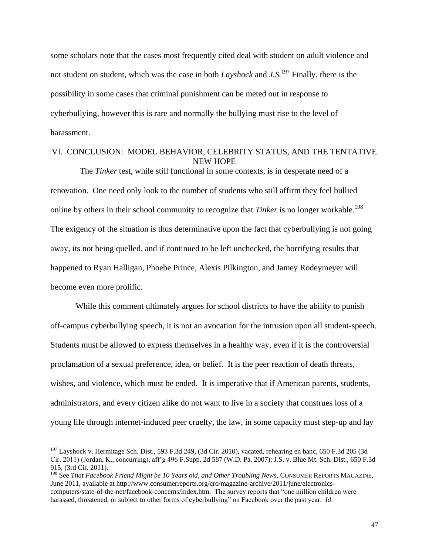some scholars note that the cases most frequently cited deal with student on adult violence and not student on student, which was the case in both *Layshock* and *J.S.*<sup>197</sup> Finally, there is the possibility in some cases that criminal punishment can be meted out in response to cyberbullying, however this is rare and normally the bullying must rise to the level of harassment.

## VI. CONCLUSION: MODEL BEHAVIOR, CELEBRITY STATUS, AND THE TENTATIVE NEW HOPE

 The *Tinker* test, while still functional in some contexts, is in desperate need of a renovation. One need only look to the number of students who still affirm they feel bullied online by others in their school community to recognize that *Tinker* is no longer workable. 198 The exigency of the situation is thus determinative upon the fact that cyberbullying is not going away, its not being quelled, and if continued to be left unchecked, the horrifying results that happened to Ryan Halligan, Phoebe Prince, Alexis Pilkington, and Jamey Rodeymeyer will become even more prolific.

While this comment ultimately argues for school districts to have the ability to punish off-campus cyberbullying speech, it is not an avocation for the intrusion upon all student-speech. Students must be allowed to express themselves in a healthy way, even if it is the controversial proclamation of a sexual preference, idea, or belief. It is the peer reaction of death threats, wishes, and violence, which must be ended. It is imperative that if American parents, students, administrators, and every citizen alike do not want to live in a society that construes loss of a young life through internet-induced peer cruelty, the law, in some capacity must step-up and lay

<sup>&</sup>lt;sup>197</sup> Layshock v. Hermitage Sch. Dist., 593 F.3d 249, (3d Cir. 2010), vacated, rehearing en banc, 650 F.3d 205 (3d Cir. 2011) (Jordan, K., concurring), aff'g 496 F.Supp. 2d 587 (W.D. Pa. 2007); J.S. v. Blue Mt. Sch. Dist., 650 F.3d 915, (3rd Cir. 2011).

<sup>198</sup> See *That Facebook Friend Might be 10 Years old, and Other Troubling News*, CONSUMER REPORTS MAGAZINE, June 2011, available at http://www.consumerreports.org/cro/magazine-archive/2011/june/electronicscomputers/state-of-the-net/facebook-concerns/index.htm. The survey reports that "one million children were harassed, threatened, or subject to other forms of cyberbullying" on Facebook over the past year. *Id*.